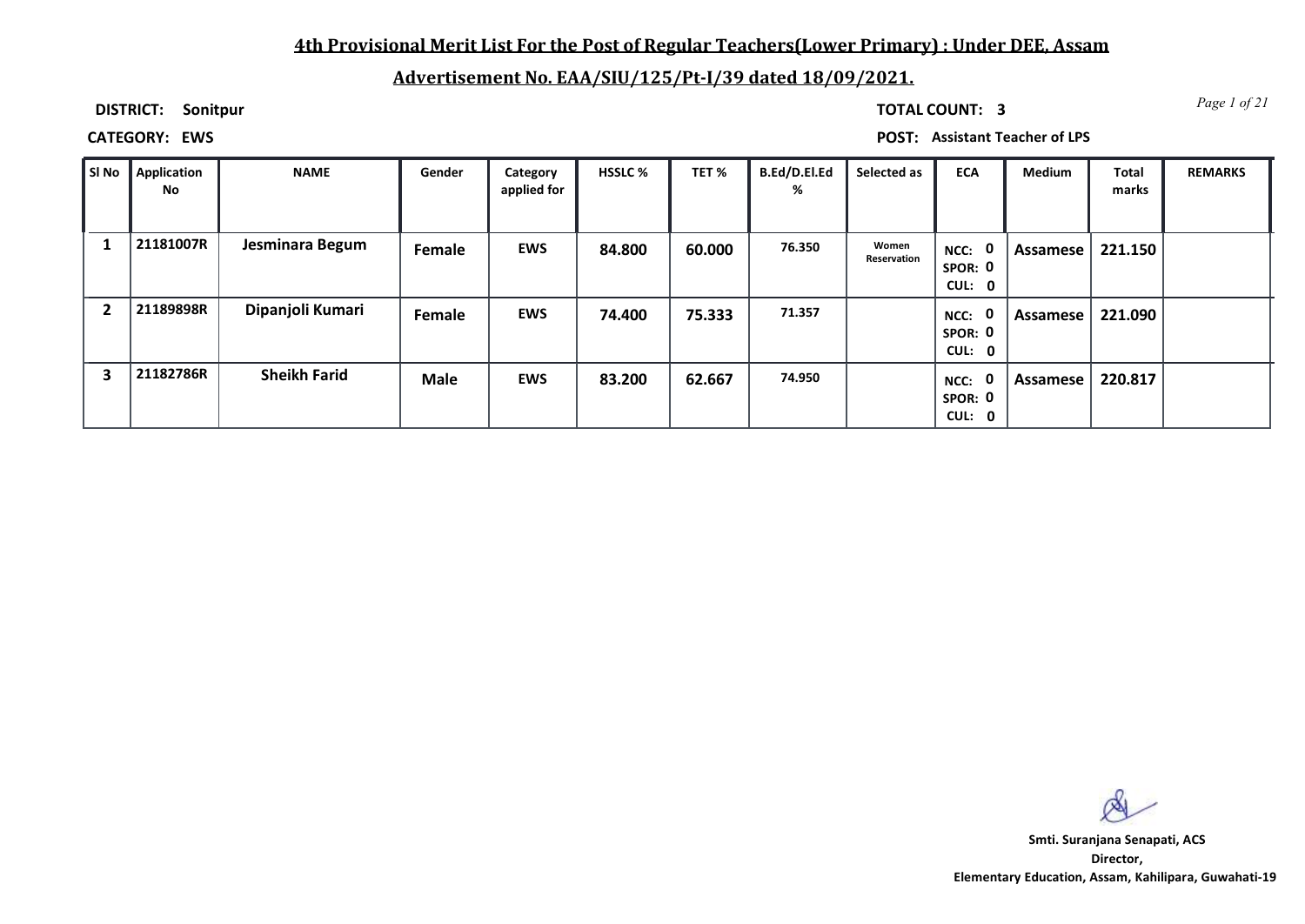## **4th Provisional Merit List For the Post of Regular Teachers(Lower Primary) : Under DEE, Assam**

# **Advertisement No. EAA/SIU/125/Pt-I/39 dated 18/09/2021.**

**DISTRICT: Sonitpur**

*Page 1 of 21* **TOTAL COUNT: 3**

**CATEGORY: EWS POST: Assistant Teacher of LPS**

| SI No | Application<br>No | <b>NAME</b>         | Gender      | Category<br>applied for | <b>HSSLC %</b> | TET %  | B.Ed/D.El.Ed<br>% | Selected as          | <b>ECA</b>                               | <b>Medium</b> | <b>Total</b><br>marks | <b>REMARKS</b> |
|-------|-------------------|---------------------|-------------|-------------------------|----------------|--------|-------------------|----------------------|------------------------------------------|---------------|-----------------------|----------------|
|       | 21181007R         | Jesminara Begum     | Female      | <b>EWS</b>              | 84.800         | 60.000 | 76.350            | Women<br>Reservation | NCC: 0<br>SPOR: 0<br>CUL: 0              | Assamese      | 221.150               |                |
|       | 21189898R         | Dipanjoli Kumari    | Female      | <b>EWS</b>              | 74.400         | 75.333 | 71.357            |                      | $\mathbf 0$<br>NCC:<br>SPOR: 0<br>CUL: 0 | Assamese      | 221.090               |                |
| 3     | 21182786R         | <b>Sheikh Farid</b> | <b>Male</b> | <b>EWS</b>              | 83.200         | 62.667 | 74.950            |                      | $\mathbf 0$<br>NCC:<br>SPOR: 0<br>CUL: 0 | Assamese      | 220.817               |                |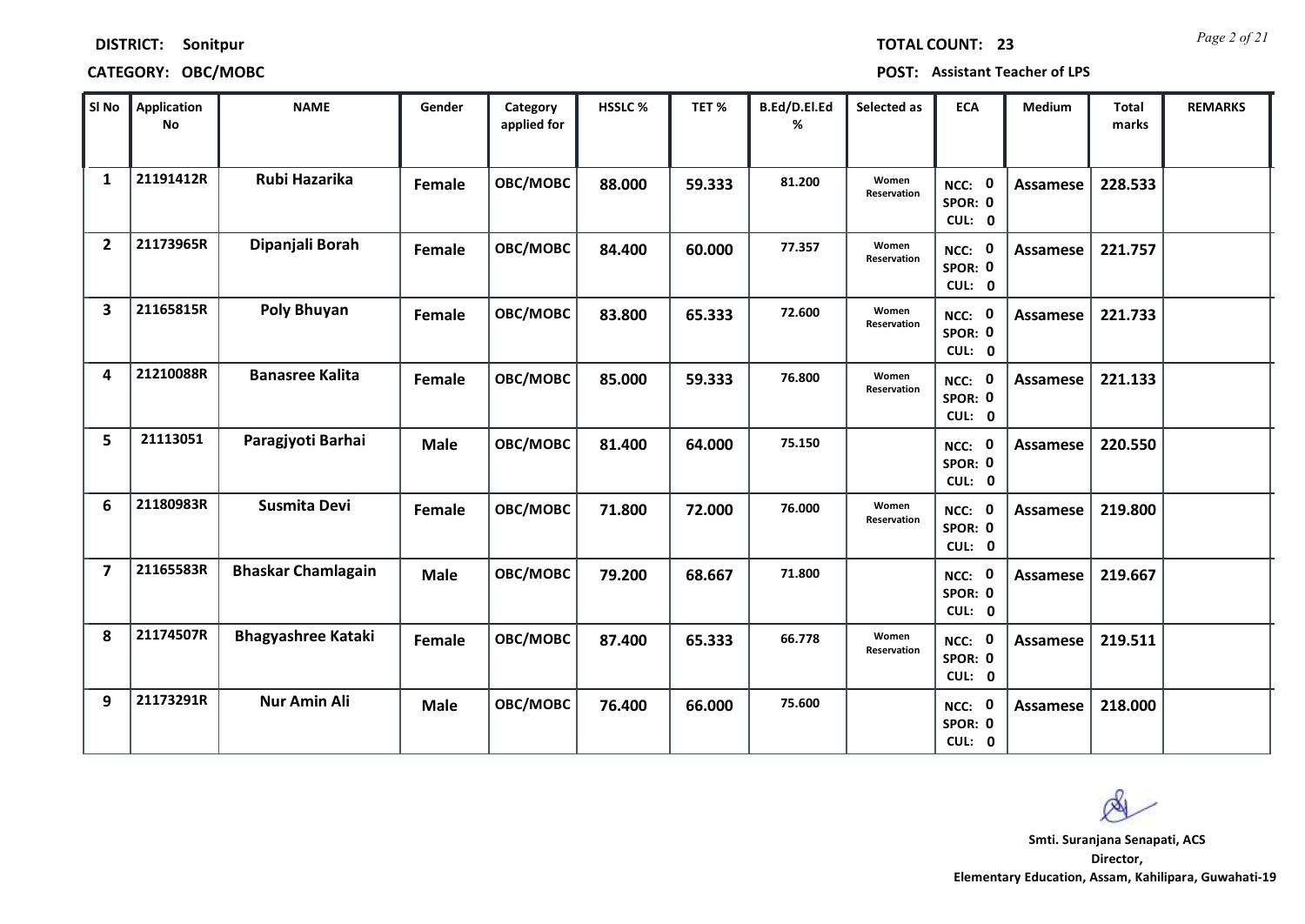| <b>DISTRICT:</b> | Sonitpur |
|------------------|----------|
|------------------|----------|

# **CATEGORY: OBC/MOBC POST: Assistant Teacher of LPS**

*Page 2 of 21* **TOTAL COUNT: 23**

| SI No          | <b>Application</b><br><b>No</b> | <b>NAME</b>               | Gender      | Category<br>applied for | HSSLC % | TET %  | B.Ed/D.El.Ed<br>% | Selected as                 | <b>ECA</b>                  | Medium          | <b>Total</b><br>marks | <b>REMARKS</b> |
|----------------|---------------------------------|---------------------------|-------------|-------------------------|---------|--------|-------------------|-----------------------------|-----------------------------|-----------------|-----------------------|----------------|
| 1              | 21191412R                       | Rubi Hazarika             | Female      | OBC/MOBC                | 88.000  | 59.333 | 81.200            | Women<br><b>Reservation</b> | NCC: 0<br>SPOR: 0<br>CUL: 0 | <b>Assamese</b> | 228.533               |                |
| $\overline{2}$ | 21173965R                       | Dipanjali Borah           | Female      | OBC/MOBC                | 84.400  | 60.000 | 77.357            | Women<br>Reservation        | NCC: 0<br>SPOR: 0<br>CUL: 0 | Assamese        | 221.757               |                |
| 3              | 21165815R                       | Poly Bhuyan               | Female      | OBC/MOBC                | 83.800  | 65.333 | 72.600            | Women<br>Reservation        | NCC: 0<br>SPOR: 0<br>CUL: 0 | <b>Assamese</b> | 221.733               |                |
| 4              | 21210088R                       | <b>Banasree Kalita</b>    | Female      | OBC/MOBC                | 85.000  | 59.333 | 76.800            | Women<br>Reservation        | NCC: 0<br>SPOR: 0<br>CUL: 0 | Assamese        | 221.133               |                |
| 5              | 21113051                        | Paragjyoti Barhai         | <b>Male</b> | OBC/MOBC                | 81.400  | 64.000 | 75.150            |                             | NCC: 0<br>SPOR: 0<br>CUL: 0 | Assamese        | 220.550               |                |
| 6              | 21180983R                       | <b>Susmita Devi</b>       | Female      | OBC/MOBC                | 71.800  | 72.000 | 76.000            | Women<br>Reservation        | NCC: 0<br>SPOR: 0<br>CUL: 0 | <b>Assamese</b> | 219.800               |                |
| $\overline{7}$ | 21165583R                       | <b>Bhaskar Chamlagain</b> | <b>Male</b> | OBC/MOBC                | 79.200  | 68.667 | 71.800            |                             | NCC: 0<br>SPOR: 0<br>CUL: 0 | <b>Assamese</b> | 219.667               |                |
| 8              | 21174507R                       | <b>Bhagyashree Kataki</b> | Female      | OBC/MOBC                | 87.400  | 65.333 | 66.778            | Women<br>Reservation        | NCC: 0<br>SPOR: 0<br>CUL: 0 | <b>Assamese</b> | 219.511               |                |
| 9              | 21173291R                       | <b>Nur Amin Ali</b>       | <b>Male</b> | OBC/MOBC                | 76.400  | 66.000 | 75.600            |                             | NCC: 0<br>SPOR: 0<br>CUL: 0 | Assamese        | 218.000               |                |

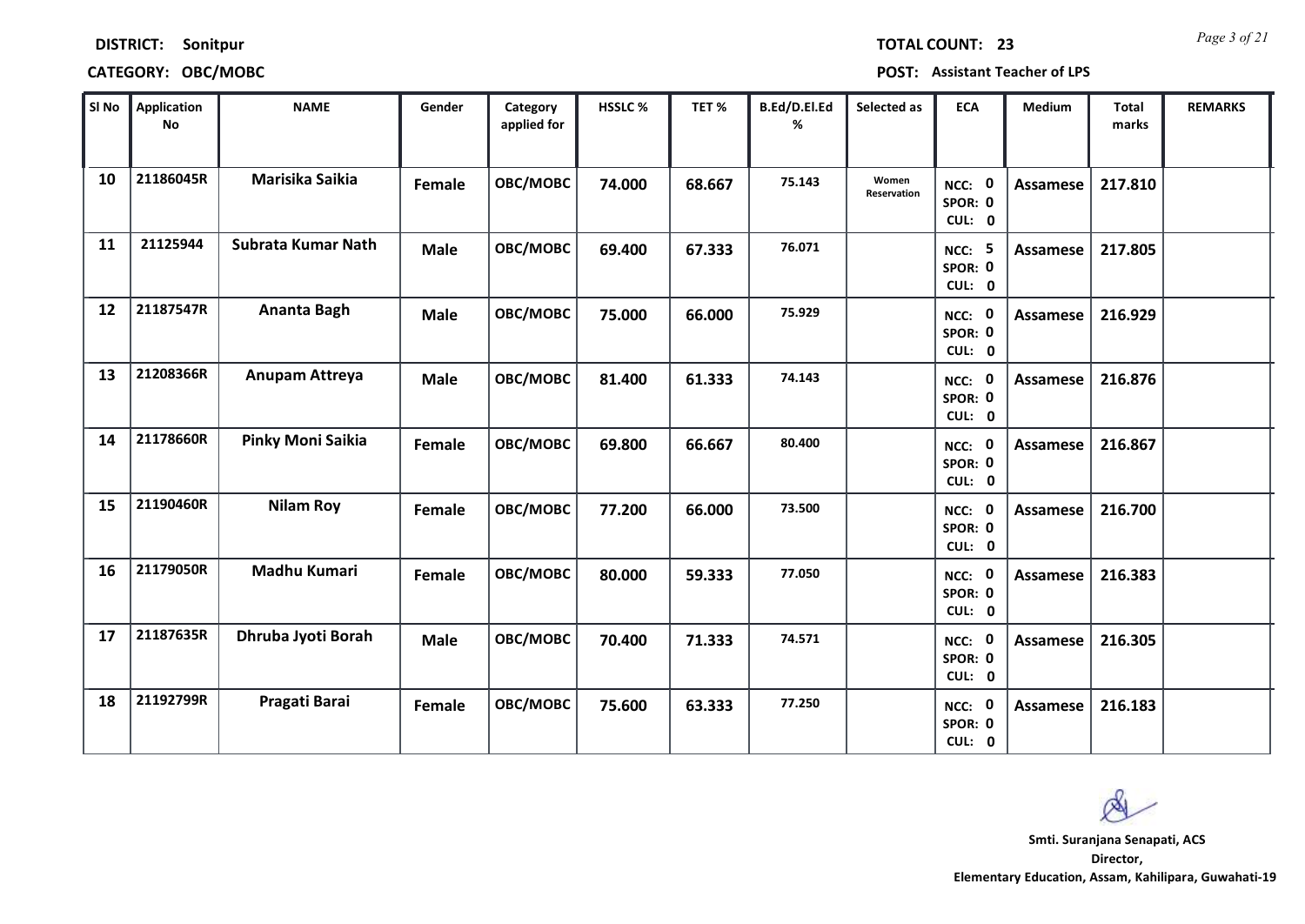| <b>DISTRICT:</b> | Sonitpur |
|------------------|----------|
|------------------|----------|

| URINGI. | <b>SUIIILDUI</b>   | I UIAL LUUINI. ZJ                     |
|---------|--------------------|---------------------------------------|
|         | CATEGORY: OBC/MOBC | <b>POST: Assistant Teacher of LPS</b> |

| SI No | Application<br>No | <b>NAME</b>        | Gender        | Category<br>applied for | HSSLC % | TET %  | B.Ed/D.El.Ed<br>% | Selected as          | <b>ECA</b>                         | <b>Medium</b>   | Total<br>marks | <b>REMARKS</b> |
|-------|-------------------|--------------------|---------------|-------------------------|---------|--------|-------------------|----------------------|------------------------------------|-----------------|----------------|----------------|
| 10    | 21186045R         | Marisika Saikia    | <b>Female</b> | OBC/MOBC                | 74.000  | 68.667 | 75.143            | Women<br>Reservation | NCC: 0<br>SPOR: 0<br>CUL: 0        | Assamese        | 217.810        |                |
| 11    | 21125944          | Subrata Kumar Nath | <b>Male</b>   | OBC/MOBC                | 69.400  | 67.333 | 76.071            |                      | <b>NCC: 5</b><br>SPOR: 0<br>CUL: 0 | Assamese        | 217.805        |                |
| 12    | 21187547R         | Ananta Bagh        | <b>Male</b>   | OBC/MOBC                | 75.000  | 66.000 | 75.929            |                      | NCC: 0<br>SPOR: 0<br>CUL: 0        | Assamese        | 216.929        |                |
| 13    | 21208366R         | Anupam Attreya     | Male          | OBC/MOBC                | 81.400  | 61.333 | 74.143            |                      | NCC: 0<br>SPOR: 0<br>CUL: 0        | Assamese        | 216.876        |                |
| 14    | 21178660R         | Pinky Moni Saikia  | Female        | OBC/MOBC                | 69.800  | 66.667 | 80.400            |                      | NCC: 0<br>SPOR: 0<br>CUL: 0        | Assamese        | 216.867        |                |
| 15    | 21190460R         | <b>Nilam Roy</b>   | Female        | OBC/MOBC                | 77.200  | 66.000 | 73.500            |                      | NCC: 0<br>SPOR: 0<br>CUL: 0        | <b>Assamese</b> | 216.700        |                |
| 16    | 21179050R         | Madhu Kumari       | Female        | OBC/MOBC                | 80.000  | 59.333 | 77.050            |                      | NCC: 0<br>SPOR: 0<br>CUL: 0        | Assamese        | 216.383        |                |
| 17    | 21187635R         | Dhruba Jyoti Borah | <b>Male</b>   | OBC/MOBC                | 70.400  | 71.333 | 74.571            |                      | NCC: 0<br>SPOR: 0<br>CUL: 0        | Assamese        | 216.305        |                |
| 18    | 21192799R         | Pragati Barai      | Female        | OBC/MOBC                | 75.600  | 63.333 | 77.250            |                      | NCC: 0<br>SPOR: 0<br>CUL: 0        | <b>Assamese</b> | 216.183        |                |

 $\infty$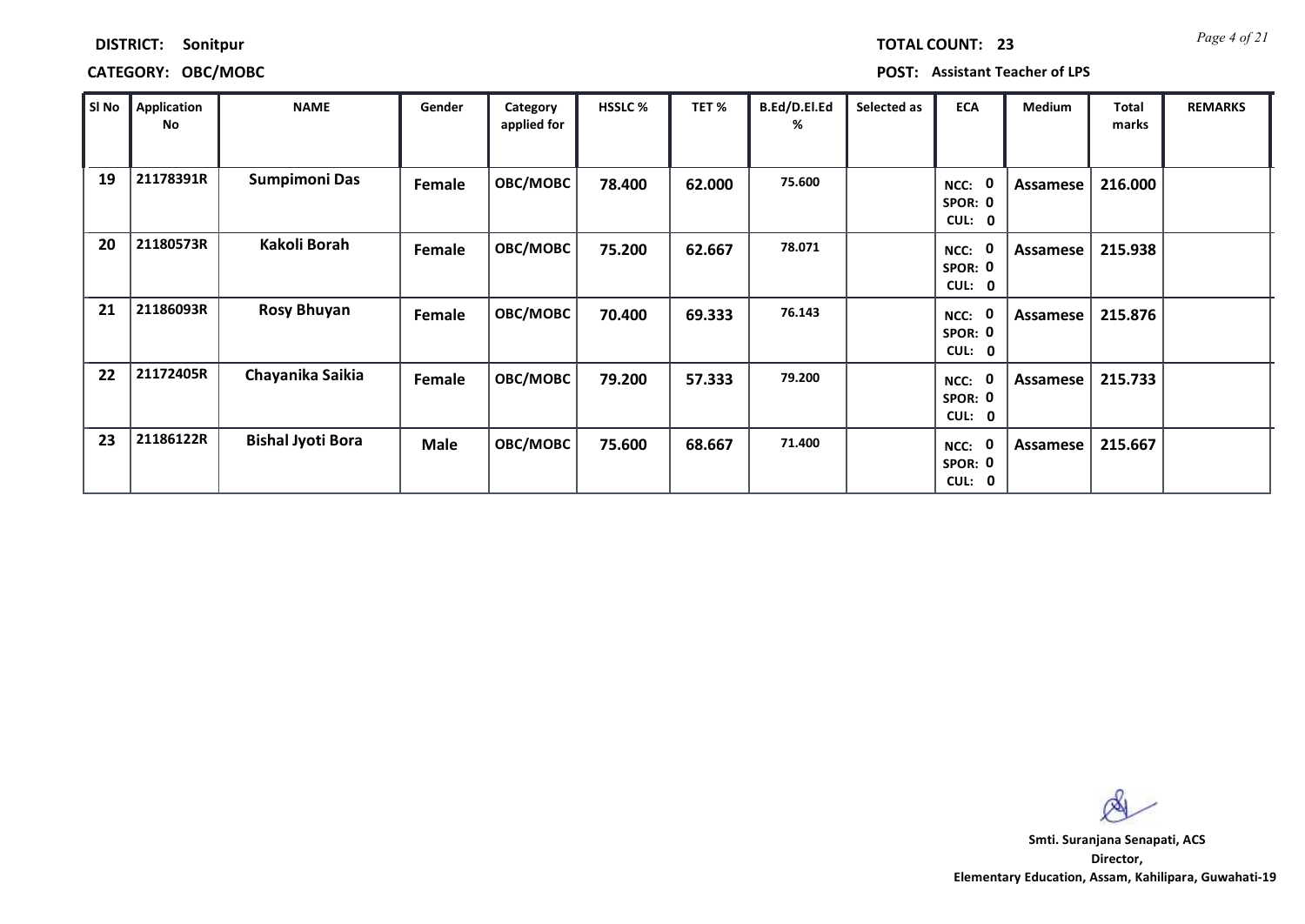| <b>TOTAL COUNT:</b> |  | 2 |
|---------------------|--|---|
|                     |  |   |

## **CATEGORY: OBC/MOBC POST: Assistant Teacher of LPS**

| SI No | <b>Application</b><br>No | <b>NAME</b>              | Gender      | Category<br>applied for | <b>HSSLC %</b> | TET %  | B.Ed/D.El.Ed<br>% | Selected as | <b>ECA</b>                                 | Medium   | Total<br>marks | <b>REMARKS</b> |
|-------|--------------------------|--------------------------|-------------|-------------------------|----------------|--------|-------------------|-------------|--------------------------------------------|----------|----------------|----------------|
| 19    | 21178391R                | Sumpimoni Das            | Female      | <b>OBC/MOBC</b>         | 78.400         | 62.000 | 75.600            |             | - 0<br>NCC:<br>SPOR: 0<br>CUL: 0           | Assamese | 216.000        |                |
| 20    | 21180573R                | Kakoli Borah             | Female      | <b>OBC/MOBC</b>         | 75.200         | 62.667 | 78.071            |             | - 0<br>NCC:<br>SPOR: 0<br>CUL: 0           | Assamese | 215.938        |                |
| 21    | 21186093R                | <b>Rosy Bhuyan</b>       | Female      | <b>OBC/MOBC</b>         | 70.400         | 69.333 | 76.143            |             | - 0<br>NCC:<br>SPOR: 0<br><b>CUL:</b><br>0 | Assamese | 215.876        |                |
| 22    | 21172405R                | Chayanika Saikia         | Female      | <b>OBC/MOBC</b>         | 79.200         | 57.333 | 79.200            |             | 0<br>NCC:<br>SPOR: 0<br><b>CUL:</b><br>- 0 | Assamese | 215.733        |                |
| 23    | 21186122R                | <b>Bishal Jyoti Bora</b> | <b>Male</b> | <b>OBC/MOBC</b>         | 75.600         | 68.667 | 71.400            |             | 0<br>NCC:<br>SPOR: 0<br><b>CUL:</b><br>0   | Assamese | 215.667        |                |

 $\infty$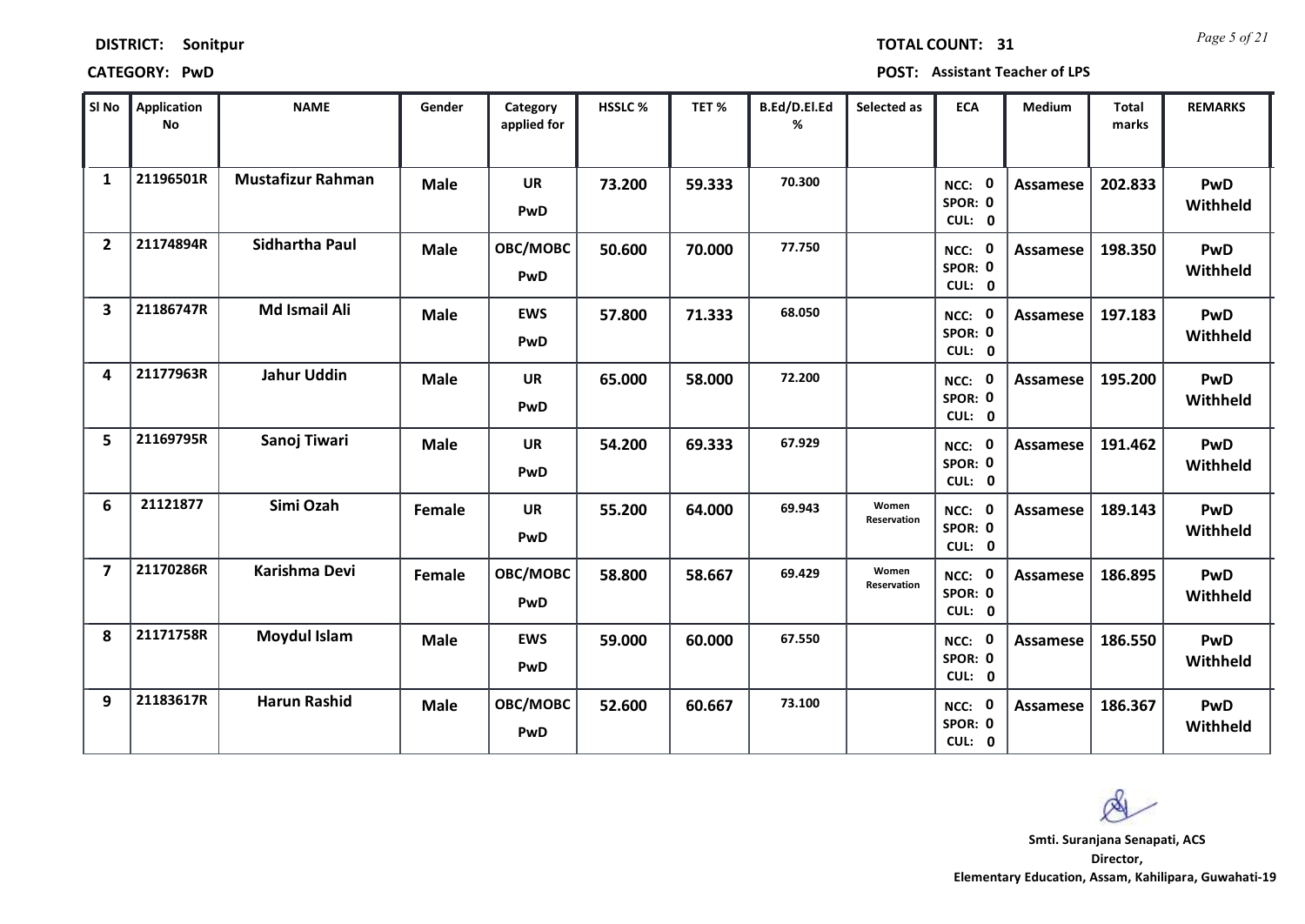*Page 5 of 21* **TOTAL COUNT: 31**

**CATEGORY: PwD POST: Assistant Teacher of LPS**

| SI No                   | <b>Application</b><br>No | <b>NAME</b>              | Gender      | Category<br>applied for | <b>HSSLC %</b> | TET %  | B.Ed/D.El.Ed<br>% | Selected as          | <b>ECA</b>                     | <b>Medium</b>   | <b>Total</b><br>marks | <b>REMARKS</b>         |
|-------------------------|--------------------------|--------------------------|-------------|-------------------------|----------------|--------|-------------------|----------------------|--------------------------------|-----------------|-----------------------|------------------------|
| $\mathbf{1}$            | 21196501R                | <b>Mustafizur Rahman</b> | <b>Male</b> | <b>UR</b><br>PwD        | 73.200         | 59.333 | 70.300            |                      | NCC: 0<br>SPOR: 0<br>CUL: 0    | <b>Assamese</b> | 202.833               | PwD<br>Withheld        |
| $\overline{2}$          | 21174894R                | Sidhartha Paul           | <b>Male</b> | OBC/MOBC<br>PwD         | 50.600         | 70.000 | 77.750            |                      | NCC: 0<br>SPOR: 0<br>CUL: 0    | Assamese        | 198.350               | PwD<br>Withheld        |
| 3                       | 21186747R                | <b>Md Ismail Ali</b>     | <b>Male</b> | <b>EWS</b><br>PwD       | 57.800         | 71.333 | 68.050            |                      | NCC: 0<br>SPOR: 0<br>CUL: 0    | <b>Assamese</b> | 197.183               | PwD<br>Withheld        |
| 4                       | 21177963R                | <b>Jahur Uddin</b>       | Male        | UR<br>PwD               | 65.000         | 58.000 | 72.200            |                      | 0<br>NCC:<br>SPOR: 0<br>CUL: 0 | <b>Assamese</b> | 195.200               | <b>PwD</b><br>Withheld |
| 5                       | 21169795R                | Sanoj Tiwari             | <b>Male</b> | <b>UR</b><br>PwD        | 54.200         | 69.333 | 67.929            |                      | NCC: 0<br>SPOR: 0<br>CUL: 0    | Assamese        | 191.462               | PwD<br>Withheld        |
| 6                       | 21121877                 | Simi Ozah                | Female      | UR<br>PwD               | 55.200         | 64.000 | 69.943            | Women<br>Reservation | NCC: 0<br>SPOR: 0<br>CUL: 0    | <b>Assamese</b> | 189.143               | <b>PwD</b><br>Withheld |
| $\overline{\mathbf{z}}$ | 21170286R                | Karishma Devi            | Female      | OBC/MOBC<br>PwD         | 58.800         | 58.667 | 69.429            | Women<br>Reservation | NCC: 0<br>SPOR: 0<br>CUL: 0    | Assamese        | 186.895               | PwD<br>Withheld        |
| 8                       | 21171758R                | <b>Moydul Islam</b>      | <b>Male</b> | <b>EWS</b><br>PwD       | 59.000         | 60.000 | 67.550            |                      | NCC: 0<br>SPOR: 0<br>CUL: 0    | <b>Assamese</b> | 186.550               | PwD<br>Withheld        |
| 9                       | 21183617R                | <b>Harun Rashid</b>      | <b>Male</b> | OBC/MOBC<br>PwD         | 52.600         | 60.667 | 73.100            |                      | NCC: 0<br>SPOR: 0<br>CUL: 0    | <b>Assamese</b> | 186.367               | PwD<br>Withheld        |

 $\infty$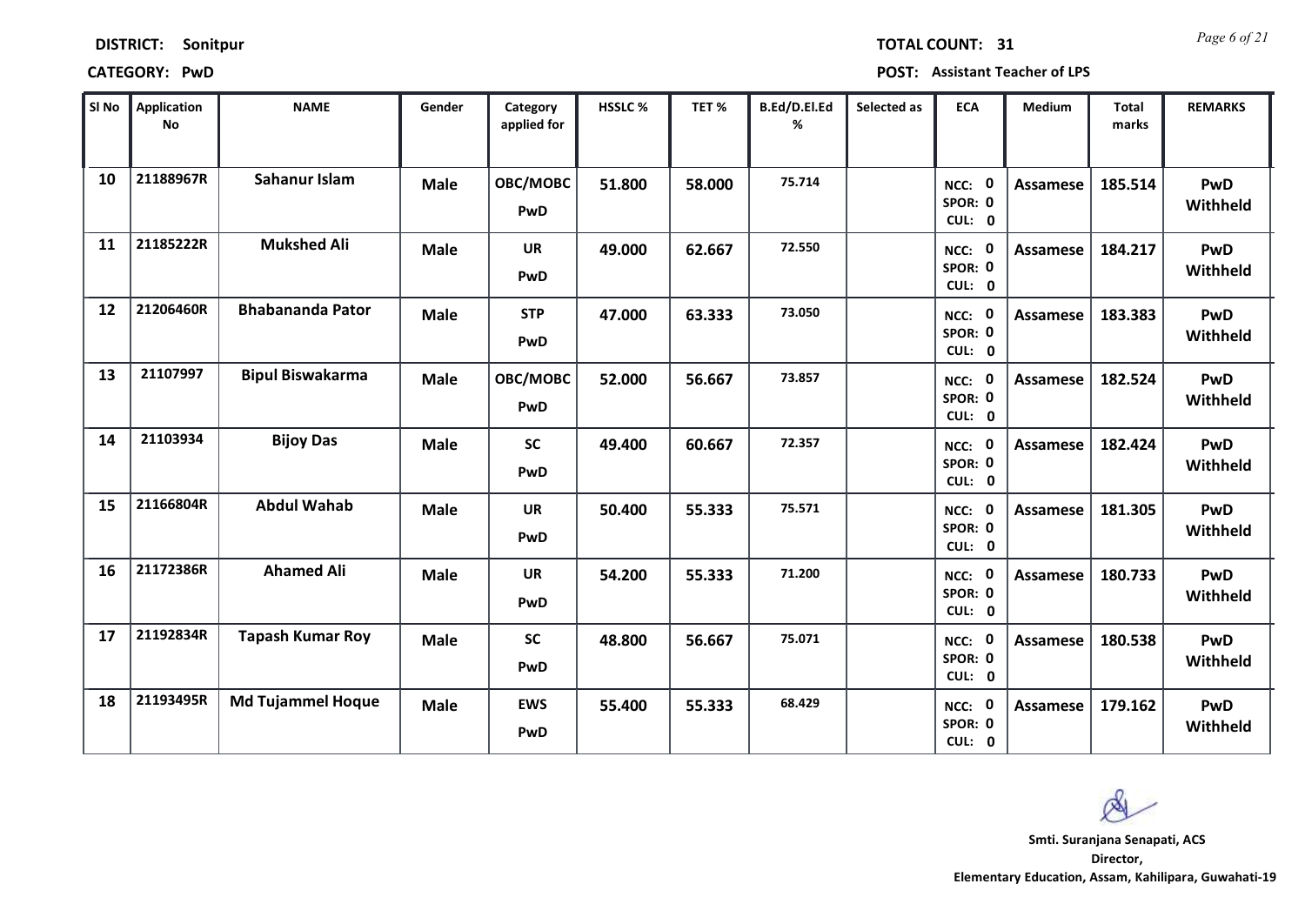*Page 6 of 21* **TOTAL COUNT: 31**

**CATEGORY: PwD POST: Assistant Teacher of LPS**

| SI No | <b>Application</b><br>No | <b>NAME</b>              | Gender      | Category<br>applied for | <b>HSSLC %</b> | TET %  | B.Ed/D.El.Ed<br>% | Selected as | <b>ECA</b>                     | <b>Medium</b>   | <b>Total</b><br>marks | <b>REMARKS</b>         |
|-------|--------------------------|--------------------------|-------------|-------------------------|----------------|--------|-------------------|-------------|--------------------------------|-----------------|-----------------------|------------------------|
| 10    | 21188967R                | Sahanur Islam            | <b>Male</b> | OBC/MOBC<br><b>PwD</b>  | 51.800         | 58.000 | 75.714            |             | NCC: 0<br>SPOR: 0<br>CUL: 0    | Assamese        | 185.514               | PwD<br>Withheld        |
| 11    | 21185222R                | <b>Mukshed Ali</b>       | <b>Male</b> | <b>UR</b><br>PwD        | 49.000         | 62.667 | 72.550            |             | NCC: 0<br>SPOR: 0<br>CUL: 0    | Assamese        | 184.217               | PwD<br>Withheld        |
| 12    | 21206460R                | <b>Bhabananda Pator</b>  | <b>Male</b> | <b>STP</b><br>PwD       | 47.000         | 63.333 | 73.050            |             | NCC: 0<br>SPOR: 0<br>CUL: 0    | <b>Assamese</b> | 183.383               | PwD<br>Withheld        |
| 13    | 21107997                 | <b>Bipul Biswakarma</b>  | <b>Male</b> | OBC/MOBC<br><b>PwD</b>  | 52.000         | 56.667 | 73.857            |             | 0<br>NCC:<br>SPOR: 0<br>CUL: 0 | Assamese        | 182.524               | PwD<br>Withheld        |
| 14    | 21103934                 | <b>Bijoy Das</b>         | <b>Male</b> | <b>SC</b><br>PwD        | 49.400         | 60.667 | 72.357            |             | NCC: 0<br>SPOR: 0<br>CUL: 0    | Assamese        | 182.424               | PwD<br>Withheld        |
| 15    | 21166804R                | <b>Abdul Wahab</b>       | <b>Male</b> | UR<br>PwD               | 50.400         | 55.333 | 75.571            |             | NCC: 0<br>SPOR: 0<br>CUL: 0    | Assamese        | 181.305               | PwD<br>Withheld        |
| 16    | 21172386R                | <b>Ahamed Ali</b>        | <b>Male</b> | <b>UR</b><br>PwD        | 54.200         | 55.333 | 71.200            |             | NCC: 0<br>SPOR: 0<br>CUL: 0    | Assamese        | 180.733               | PwD<br>Withheld        |
| 17    | 21192834R                | <b>Tapash Kumar Roy</b>  | <b>Male</b> | <b>SC</b><br>PwD        | 48.800         | 56.667 | 75.071            |             | NCC: 0<br>SPOR: 0<br>CUL: 0    | <b>Assamese</b> | 180.538               | PwD<br>Withheld        |
| 18    | 21193495R                | <b>Md Tujammel Hoque</b> | <b>Male</b> | <b>EWS</b><br>PwD       | 55.400         | 55.333 | 68.429            |             | NCC: 0<br>SPOR: 0<br>CUL: 0    | Assamese        | 179.162               | <b>PwD</b><br>Withheld |

 $\infty$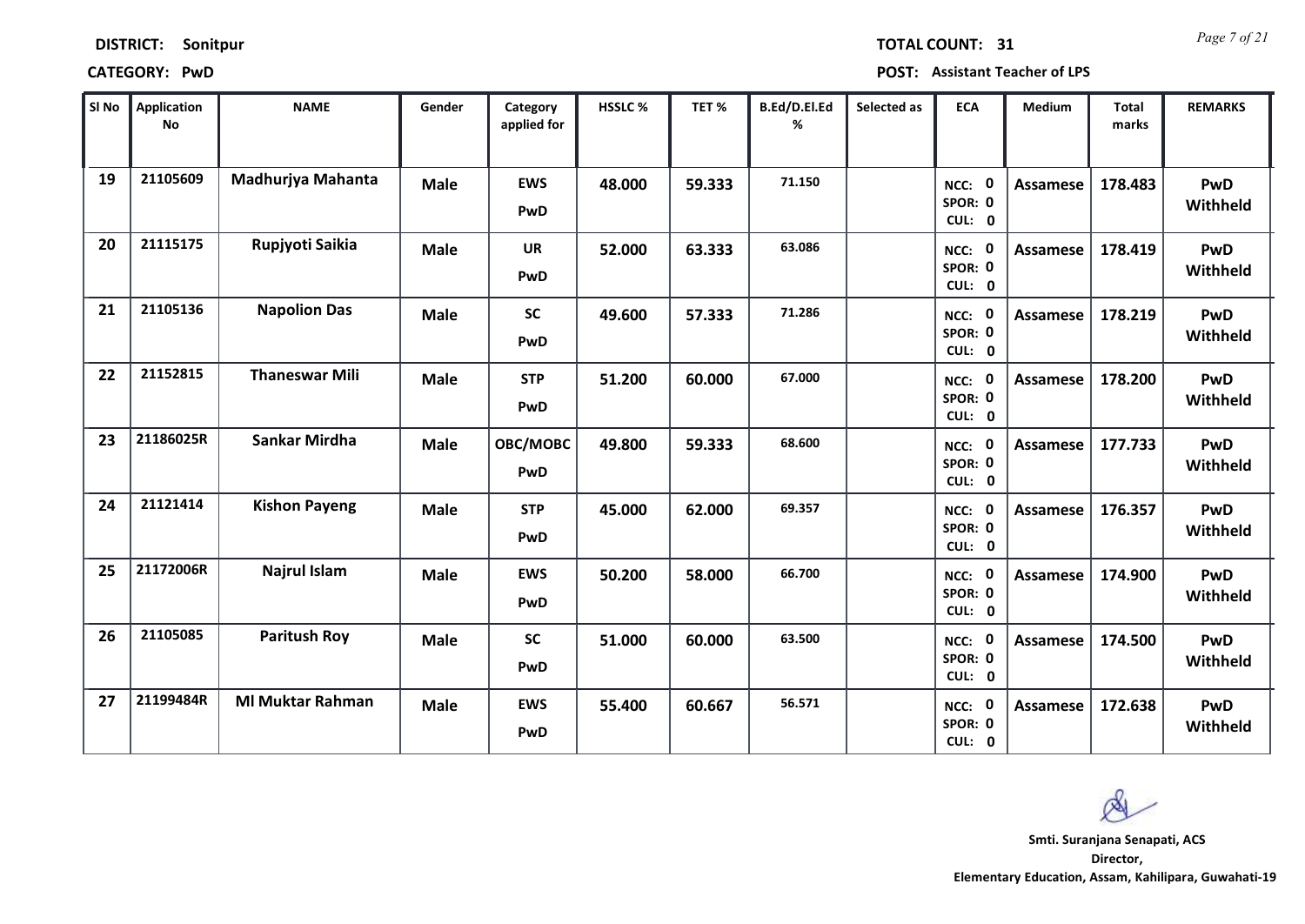*Page 7 of 21* **TOTAL COUNT: 31**

**CATEGORY: PwD POST: Assistant Teacher of LPS**

| SI No | <b>Application</b><br>No | <b>NAME</b>             | Gender      | Category<br>applied for  | HSSLC % | TET %  | B.Ed/D.El.Ed<br>% | Selected as | <b>ECA</b>                       | Medium          | <b>Total</b><br>marks | <b>REMARKS</b>  |
|-------|--------------------------|-------------------------|-------------|--------------------------|---------|--------|-------------------|-------------|----------------------------------|-----------------|-----------------------|-----------------|
| 19    | 21105609                 | Madhurjya Mahanta       | <b>Male</b> | <b>EWS</b><br>PwD        | 48.000  | 59.333 | 71.150            |             | NCC: 0<br>SPOR: 0<br>CUL: 0      | <b>Assamese</b> | 178.483               | PwD<br>Withheld |
| 20    | 21115175                 | Rupjyoti Saikia         | <b>Male</b> | <b>UR</b><br>PwD         | 52.000  | 63.333 | 63.086            |             | NCC: 0<br>SPOR: 0<br>CUL: 0      | Assamese        | 178.419               | PwD<br>Withheld |
| 21    | 21105136                 | <b>Napolion Das</b>     | <b>Male</b> | <b>SC</b><br>PwD         | 49.600  | 57.333 | 71.286            |             | NCC: 0<br>SPOR: 0<br>CUL: 0      | <b>Assamese</b> | 178.219               | PwD<br>Withheld |
| 22    | 21152815                 | <b>Thaneswar Mili</b>   | <b>Male</b> | <b>STP</b><br><b>PwD</b> | 51.200  | 60.000 | 67.000            |             | - 0<br>NCC:<br>SPOR: 0<br>CUL: 0 | <b>Assamese</b> | 178.200               | PwD<br>Withheld |
| 23    | 21186025R                | <b>Sankar Mirdha</b>    | <b>Male</b> | OBC/MOBC<br>PwD          | 49.800  | 59.333 | 68.600            |             | NCC: 0<br>SPOR: 0<br>CUL: 0      | Assamese        | 177.733               | PwD<br>Withheld |
| 24    | 21121414                 | <b>Kishon Payeng</b>    | <b>Male</b> | <b>STP</b><br><b>PwD</b> | 45.000  | 62.000 | 69.357            |             | NCC: 0<br>SPOR: 0<br>CUL: 0      | Assamese        | 176.357               | PwD<br>Withheld |
| 25    | 21172006R                | Najrul Islam            | <b>Male</b> | <b>EWS</b><br>PwD        | 50.200  | 58.000 | 66.700            |             | NCC: 0<br>SPOR: 0<br>CUL: 0      | Assamese        | 174.900               | PwD<br>Withheld |
| 26    | 21105085                 | <b>Paritush Roy</b>     | <b>Male</b> | <b>SC</b><br>PwD         | 51.000  | 60.000 | 63.500            |             | NCC: 0<br>SPOR: 0<br>CUL: 0      | <b>Assamese</b> | 174.500               | PwD<br>Withheld |
| 27    | 21199484R                | <b>MI Muktar Rahman</b> | <b>Male</b> | <b>EWS</b><br>PwD        | 55.400  | 60.667 | 56.571            |             | NCC: 0<br>SPOR: 0<br>CUL: 0      | Assamese        | 172.638               | PwD<br>Withheld |

**Director, Elementary Education, Assam, Kahilipara, Guwahati-19 Smti. Suranjana Senapati, ACS**

 $\infty$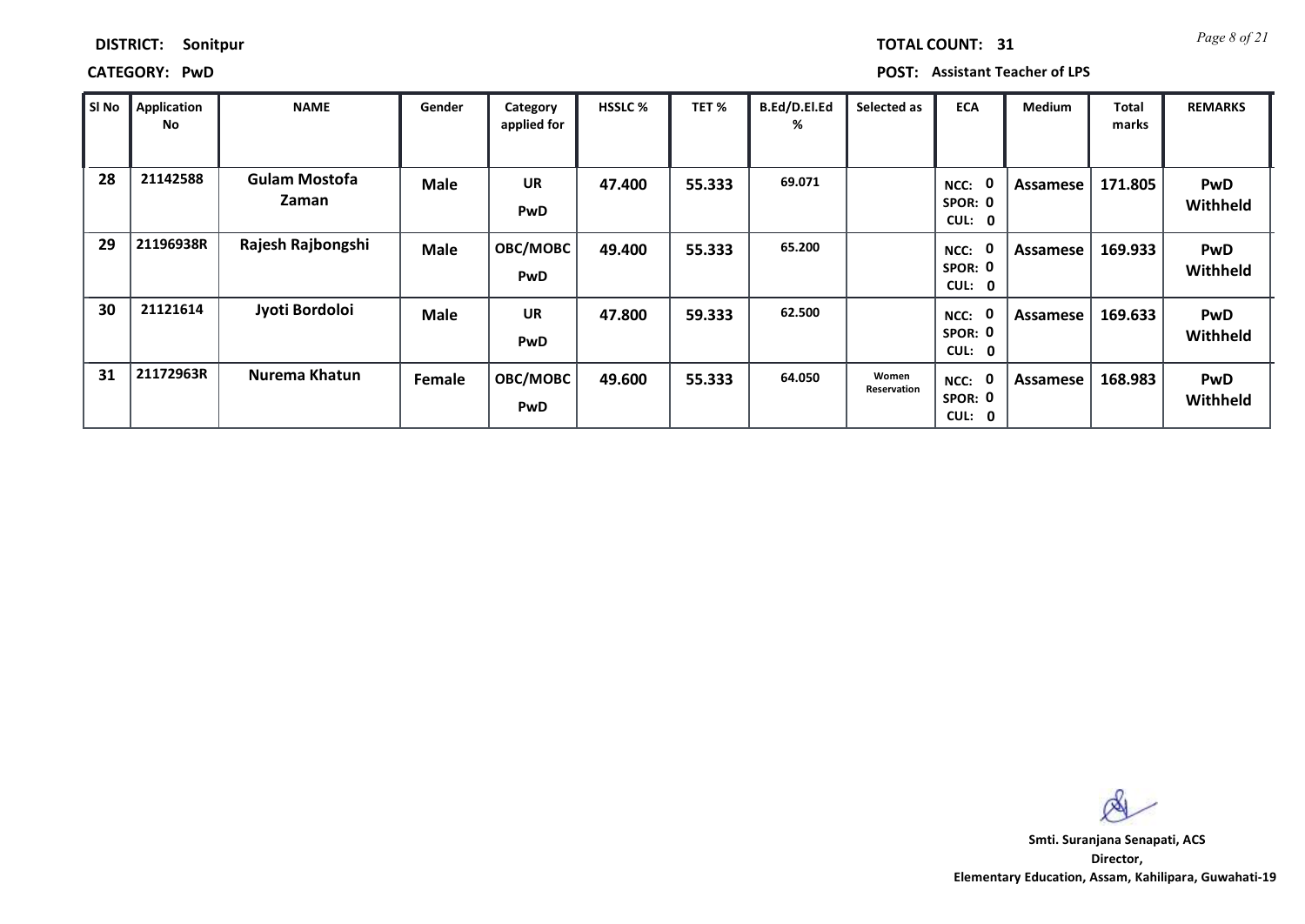## **CATEGORY: PwD POST: Assistant Teacher of LPS**

*Page 8 of 21* **TOTAL COUNT: 31**

| SI No | Application<br>No | <b>NAME</b>                   | Gender      | Category<br>applied for | <b>HSSLC %</b> | TET %  | B.Ed/D.El.Ed<br>% | Selected as          | <b>ECA</b>                                    | <b>Medium</b> | Total<br>marks | <b>REMARKS</b>         |
|-------|-------------------|-------------------------------|-------------|-------------------------|----------------|--------|-------------------|----------------------|-----------------------------------------------|---------------|----------------|------------------------|
| 28    | 21142588          | <b>Gulam Mostofa</b><br>Zaman | <b>Male</b> | <b>UR</b><br>PwD        | 47.400         | 55.333 | 69.071            |                      | 0<br>NCC:<br>SPOR: 0<br>CUL:<br>0             | Assamese      | 171.805        | <b>PwD</b><br>Withheld |
| 29    | 21196938R         | Rajesh Rajbongshi             | <b>Male</b> | OBC/MOBC<br>PwD         | 49.400         | 55.333 | 65.200            |                      | 0<br>NCC:<br>SPOR: 0<br>CUL:<br>0             | Assamese      | 169.933        | <b>PwD</b><br>Withheld |
| 30    | 21121614          | Jyoti Bordoloi                | <b>Male</b> | <b>UR</b><br>PwD        | 47.800         | 59.333 | 62.500            |                      | 0<br>NCC:<br>SPOR: 0<br><b>CUL:</b><br>0      | Assamese      | 169.633        | <b>PwD</b><br>Withheld |
| 31    | 21172963R         | Nurema Khatun                 | Female      | OBC/MOBC<br>PwD         | 49.600         | 55.333 | 64.050            | Women<br>Reservation | - 0<br>NCC:<br>SPOR: 0<br>CUL:<br>$\mathbf 0$ | Assamese      | 168.983        | <b>PwD</b><br>Withheld |

Q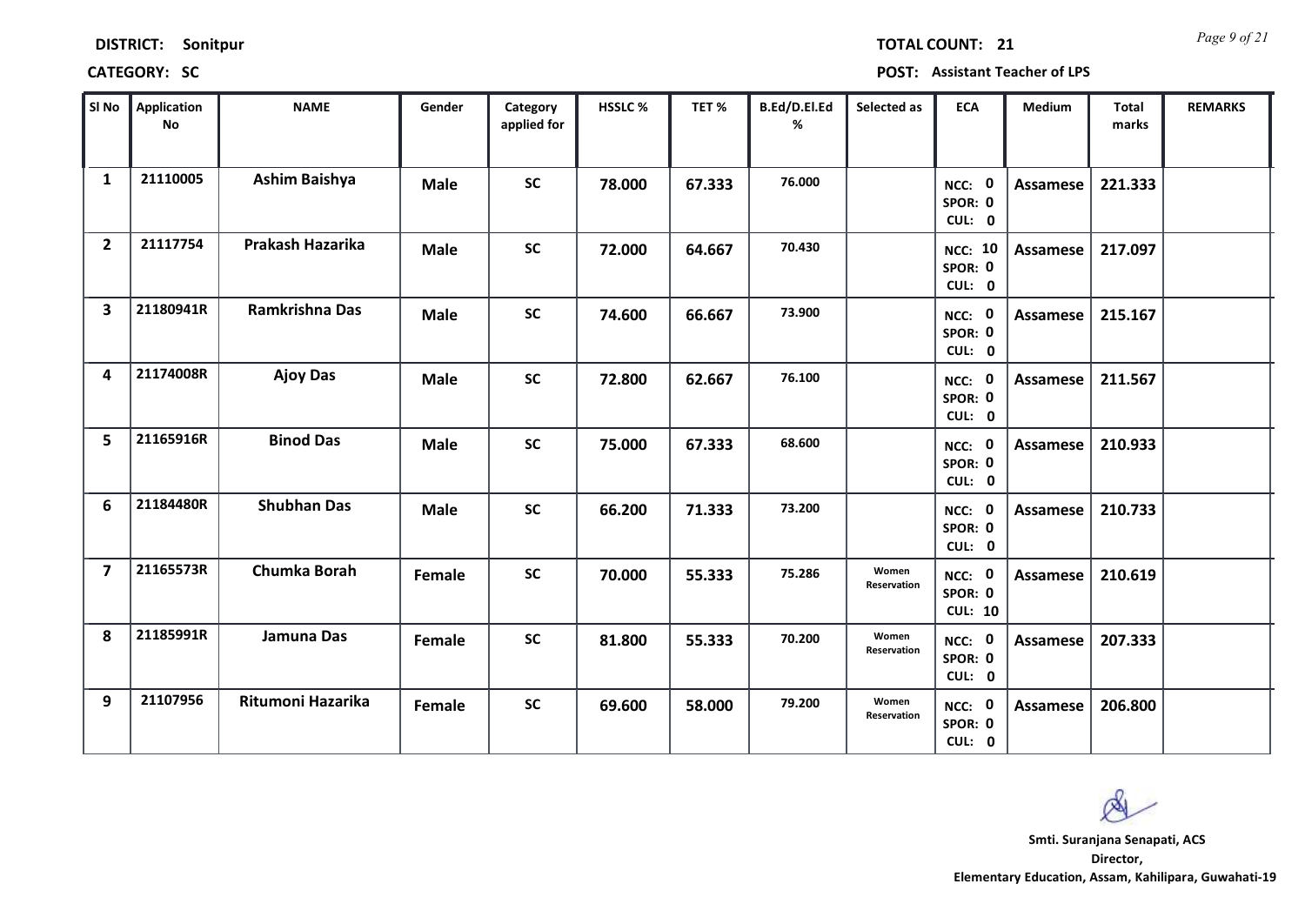| Sonitpur |
|----------|
|          |

*Page 9 of 21* **TOTAL COUNT: 21**

**CATEGORY: SC POST: Assistant Teacher of LPS**

| SI No                   | <b>Application</b><br>No | <b>NAME</b>           | Gender      | Category<br>applied for | <b>HSSLC%</b> | TET %  | B.Ed/D.El.Ed<br>% | Selected as          | <b>ECA</b>                          | <b>Medium</b>   | <b>Total</b><br>marks | <b>REMARKS</b> |
|-------------------------|--------------------------|-----------------------|-------------|-------------------------|---------------|--------|-------------------|----------------------|-------------------------------------|-----------------|-----------------------|----------------|
| $\mathbf{1}$            | 21110005                 | <b>Ashim Baishya</b>  | <b>Male</b> | <b>SC</b>               | 78.000        | 67.333 | 76.000            |                      | NCC: 0<br>SPOR: 0<br>CUL: 0         | <b>Assamese</b> | 221.333               |                |
| $\overline{2}$          | 21117754                 | Prakash Hazarika      | <b>Male</b> | <b>SC</b>               | 72.000        | 64.667 | 70.430            |                      | <b>NCC: 10</b><br>SPOR: 0<br>CUL: 0 | Assamese        | 217.097               |                |
| $\overline{\mathbf{3}}$ | 21180941R                | <b>Ramkrishna Das</b> | <b>Male</b> | <b>SC</b>               | 74.600        | 66.667 | 73.900            |                      | NCC: 0<br>SPOR: 0<br>CUL: 0         | <b>Assamese</b> | 215.167               |                |
| 4                       | 21174008R                | <b>Ajoy Das</b>       | <b>Male</b> | <b>SC</b>               | 72.800        | 62.667 | 76.100            |                      | NCC: 0<br>SPOR: 0<br>CUL: 0         | Assamese        | 211.567               |                |
| 5                       | 21165916R                | <b>Binod Das</b>      | <b>Male</b> | <b>SC</b>               | 75.000        | 67.333 | 68.600            |                      | NCC: 0<br>SPOR: 0<br>CUL: 0         | Assamese        | 210.933               |                |
| 6                       | 21184480R                | <b>Shubhan Das</b>    | <b>Male</b> | <b>SC</b>               | 66.200        | 71.333 | 73.200            |                      | NCC: 0<br>SPOR: 0<br>CUL: 0         | Assamese        | 210.733               |                |
| $\overline{\mathbf{z}}$ | 21165573R                | Chumka Borah          | Female      | <b>SC</b>               | 70.000        | 55.333 | 75.286            | Women<br>Reservation | NCC: 0<br>SPOR: 0<br><b>CUL: 10</b> | Assamese        | 210.619               |                |
| 8                       | 21185991R                | Jamuna Das            | Female      | <b>SC</b>               | 81.800        | 55.333 | 70.200            | Women<br>Reservation | NCC: 0<br>SPOR: 0<br>CUL: 0         | <b>Assamese</b> | 207.333               |                |
| 9                       | 21107956                 | Ritumoni Hazarika     | Female      | <b>SC</b>               | 69.600        | 58.000 | 79.200            | Women<br>Reservation | NCC: 0<br>SPOR: 0<br>CUL: 0         | Assamese        | 206.800               |                |

 $\infty$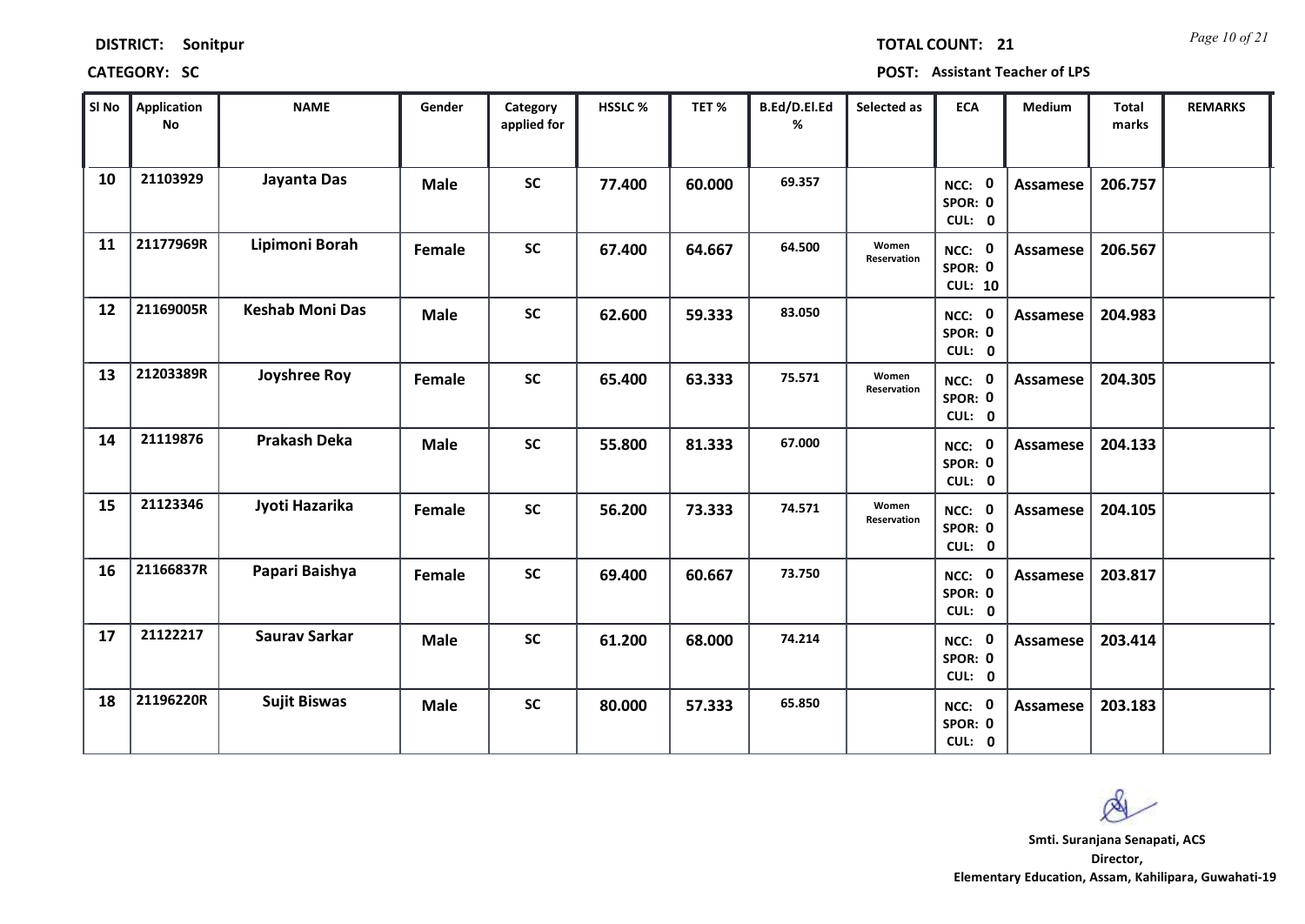| <b>DISTRICT:</b> | Sonitpur |
|------------------|----------|
|------------------|----------|

*Page 10 of 21* **TOTAL COUNT: 21**

**CATEGORY: SC POST: Assistant Teacher of LPS**

| SI No | <b>Application</b><br>No | <b>NAME</b>            | Gender      | Category<br>applied for | <b>HSSLC%</b> | TET %  | B.Ed/D.El.Ed<br>% | Selected as          | <b>ECA</b>                          | <b>Medium</b>   | <b>Total</b><br>marks | <b>REMARKS</b> |
|-------|--------------------------|------------------------|-------------|-------------------------|---------------|--------|-------------------|----------------------|-------------------------------------|-----------------|-----------------------|----------------|
| 10    | 21103929                 | Jayanta Das            | <b>Male</b> | <b>SC</b>               | 77.400        | 60.000 | 69.357            |                      | NCC: 0<br>SPOR: 0<br>CUL: 0         | <b>Assamese</b> | 206.757               |                |
| 11    | 21177969R                | Lipimoni Borah         | Female      | <b>SC</b>               | 67.400        | 64.667 | 64.500            | Women<br>Reservation | NCC: 0<br>SPOR: 0<br><b>CUL: 10</b> | Assamese        | 206.567               |                |
| 12    | 21169005R                | <b>Keshab Moni Das</b> | <b>Male</b> | <b>SC</b>               | 62.600        | 59.333 | 83.050            |                      | NCC: 0<br>SPOR: 0<br>CUL: 0         | <b>Assamese</b> | 204.983               |                |
| 13    | 21203389R                | Joyshree Roy           | Female      | <b>SC</b>               | 65.400        | 63.333 | 75.571            | Women<br>Reservation | NCC: 0<br>SPOR: 0<br>CUL: 0         | Assamese        | 204.305               |                |
| 14    | 21119876                 | <b>Prakash Deka</b>    | <b>Male</b> | <b>SC</b>               | 55.800        | 81.333 | 67.000            |                      | NCC: 0<br>SPOR: 0<br>CUL: 0         | Assamese        | 204.133               |                |
| 15    | 21123346                 | Jyoti Hazarika         | Female      | <b>SC</b>               | 56.200        | 73.333 | 74.571            | Women<br>Reservation | NCC: 0<br>SPOR: 0<br>CUL: 0         | Assamese        | 204.105               |                |
| 16    | 21166837R                | Papari Baishya         | Female      | <b>SC</b>               | 69.400        | 60.667 | 73.750            |                      | NCC: 0<br>SPOR: 0<br>CUL: 0         | Assamese        | 203.817               |                |
| 17    | 21122217                 | <b>Saurav Sarkar</b>   | <b>Male</b> | <b>SC</b>               | 61.200        | 68.000 | 74.214            |                      | NCC: 0<br>SPOR: 0<br>CUL: 0         | <b>Assamese</b> | 203.414               |                |
| 18    | 21196220R                | <b>Sujit Biswas</b>    | <b>Male</b> | <b>SC</b>               | 80.000        | 57.333 | 65.850            |                      | NCC: 0<br>SPOR: 0<br>CUL: 0         | Assamese        | 203.183               |                |

 $\infty$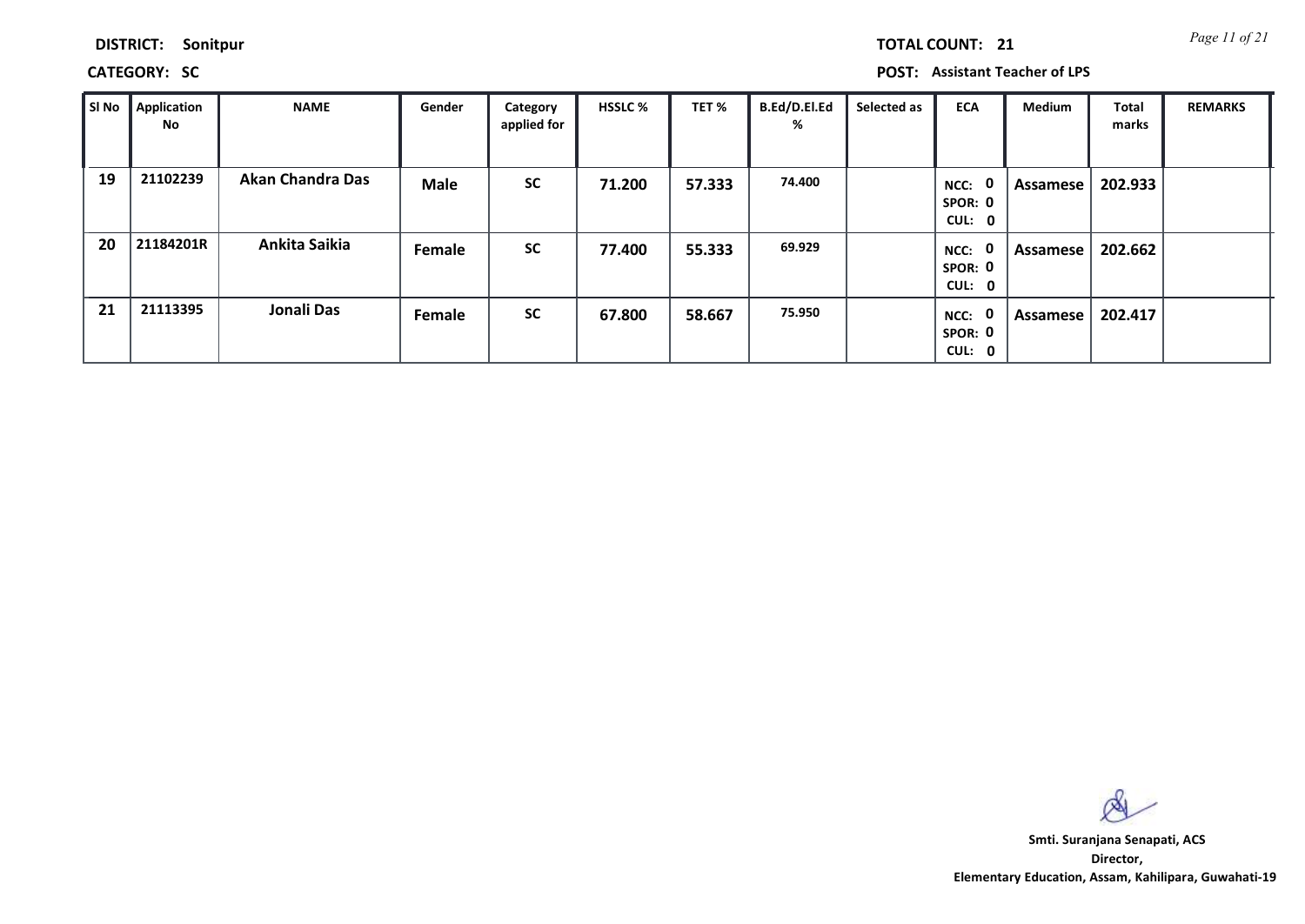**CATEGORY: SC POST: Assistant Teacher of LPS**

| Sl No | <b>Application</b><br>No | <b>NAME</b>             | Gender | Category<br>applied for | <b>HSSLC %</b> | TET %  | <b>B.Ed/D.El.Ed</b><br>% | Selected as | <b>ECA</b>                     | <b>Medium</b> | <b>Total</b><br>marks | <b>REMARKS</b> |
|-------|--------------------------|-------------------------|--------|-------------------------|----------------|--------|--------------------------|-------------|--------------------------------|---------------|-----------------------|----------------|
| 19    | 21102239                 | <b>Akan Chandra Das</b> | Male   | <b>SC</b>               | 71.200         | 57.333 | 74.400                   |             | 0<br>NCC:<br>SPOR: 0<br>CUL: 0 | Assamese      | 202.933               |                |
| 20    | 21184201R                | Ankita Saikia           | Female | <b>SC</b>               | 77.400         | 55.333 | 69.929                   |             | 0<br>NCC:<br>SPOR: 0<br>CUL: 0 | Assamese      | 202.662               |                |
| 21    | 21113395                 | Jonali Das              | Female | <b>SC</b>               | 67.800         | 58.667 | 75.950                   |             | 0<br>NCC:<br>SPOR: 0<br>CUL: 0 | Assamese      | 202.417               |                |

 $\infty$ 

**Director, Elementary Education, Assam, Kahilipara, Guwahati-19 Smti. Suranjana Senapati, ACS**

*Page 11 of 21* **TOTAL COUNT: 21**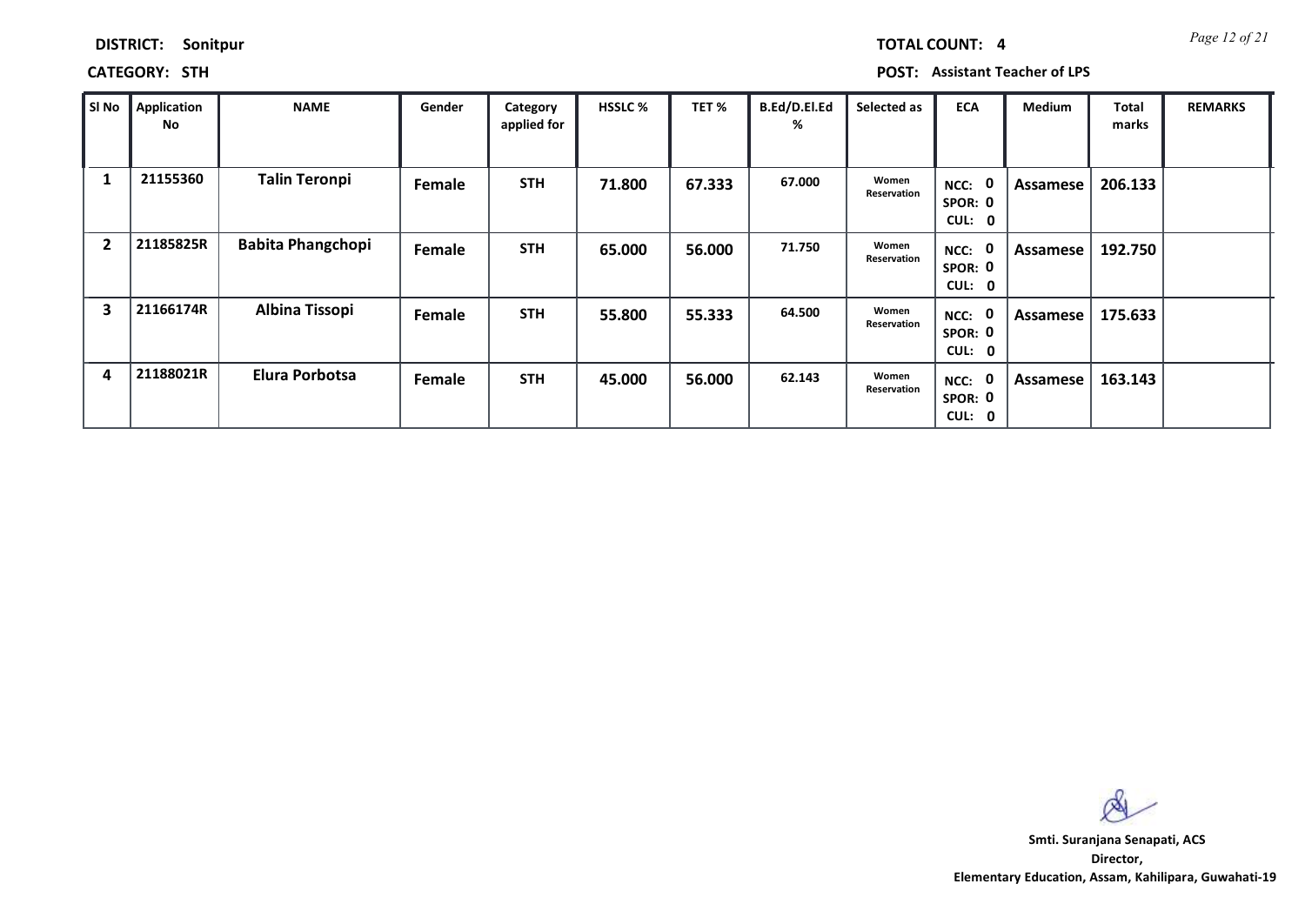*Page 12 of 21* **TOTAL COUNT: 4**

**CATEGORY: STH POST: Assistant Teacher of LPS**

| SI No          | <b>Application</b><br>No | <b>NAME</b>              | Gender | Category<br>applied for | <b>HSSLC %</b> | TET %  | B.Ed/D.El.Ed<br>% | Selected as          | <b>ECA</b>                                            | Medium   | Total<br>marks | <b>REMARKS</b> |
|----------------|--------------------------|--------------------------|--------|-------------------------|----------------|--------|-------------------|----------------------|-------------------------------------------------------|----------|----------------|----------------|
| 1              | 21155360                 | <b>Talin Teronpi</b>     | Female | <b>STH</b>              | 71.800         | 67.333 | 67.000            | Women<br>Reservation | 0<br>NCC:<br>SPOR: 0<br><b>CUL:</b><br>$\mathbf 0$    | Assamese | 206.133        |                |
| $\overline{2}$ | 21185825R                | <b>Babita Phangchopi</b> | Female | <b>STH</b>              | 65.000         | 56.000 | 71.750            | Women<br>Reservation | NCC:<br>$\mathbf 0$<br>SPOR: 0<br>CUL:<br>$\mathbf 0$ | Assamese | 192.750        |                |
| 3              | 21166174R                | <b>Albina Tissopi</b>    | Female | <b>STH</b>              | 55.800         | 55.333 | 64.500            | Women<br>Reservation | 0<br>NCC:<br>SPOR: 0<br>CUL:<br>$\mathbf 0$           | Assamese | 175.633        |                |
| 4              | 21188021R                | <b>Elura Porbotsa</b>    | Female | <b>STH</b>              | 45.000         | 56.000 | 62.143            | Women<br>Reservation | $\mathbf 0$<br>NCC:<br>SPOR: 0<br>CUL:<br>$\mathbf 0$ | Assamese | 163.143        |                |

 $\infty$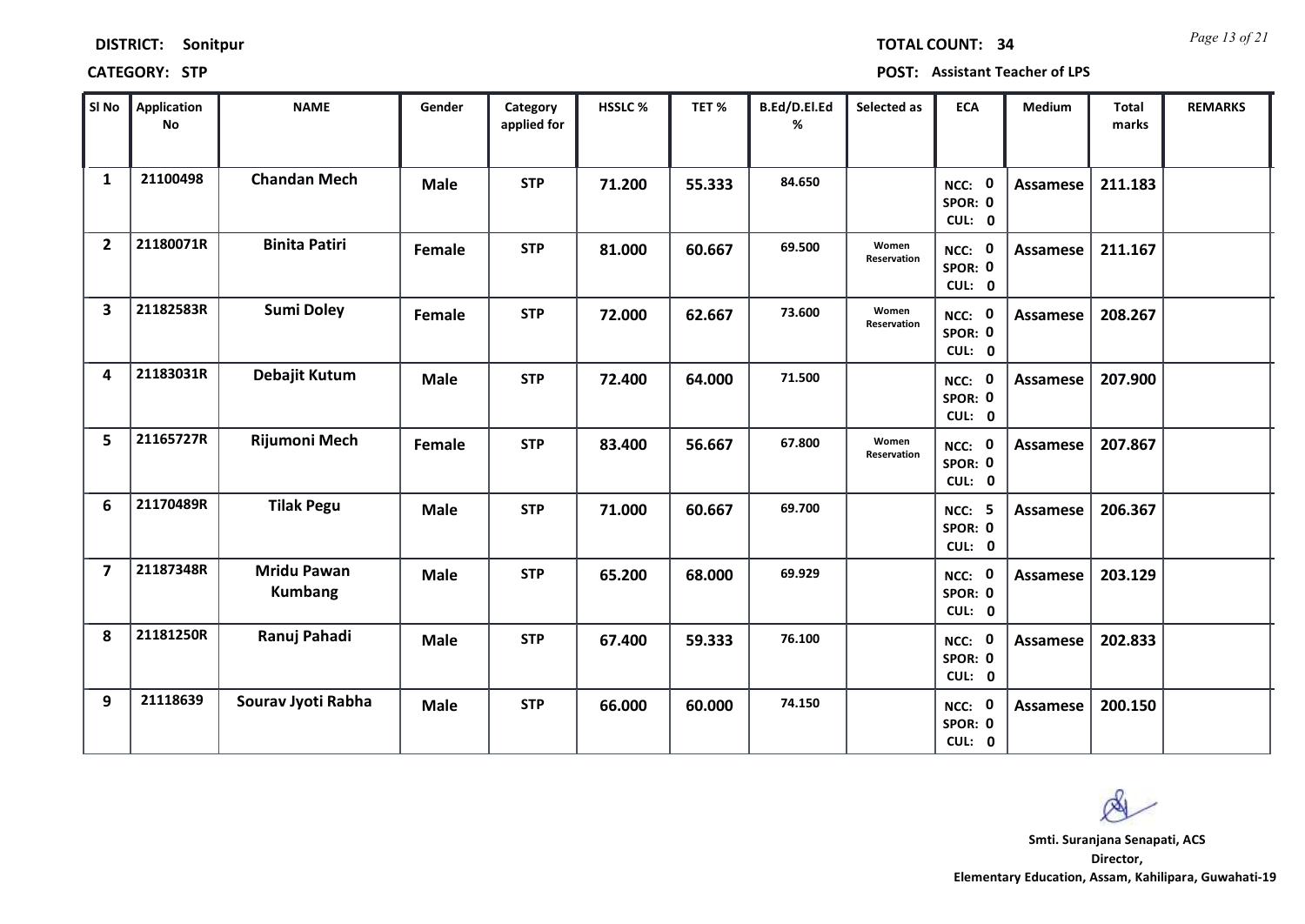| <b>DISTRICT:</b> | Sonitpur |
|------------------|----------|
|------------------|----------|

*Page 13 of 21* **TOTAL COUNT: 34**

**CATEGORY: STP POST: Assistant Teacher of LPS**

| SI No                   | <b>Application</b><br>No | <b>NAME</b>                          | Gender      | Category<br>applied for | <b>HSSLC%</b> | TET%   | B.Ed/D.El.Ed<br>% | Selected as          | <b>ECA</b>                         | <b>Medium</b>   | <b>Total</b><br>marks | <b>REMARKS</b> |
|-------------------------|--------------------------|--------------------------------------|-------------|-------------------------|---------------|--------|-------------------|----------------------|------------------------------------|-----------------|-----------------------|----------------|
| $\mathbf{1}$            | 21100498                 | <b>Chandan Mech</b>                  | <b>Male</b> | <b>STP</b>              | 71.200        | 55.333 | 84.650            |                      | NCC: 0<br>SPOR: 0<br>CUL: 0        | Assamese        | 211.183               |                |
| $\overline{2}$          | 21180071R                | <b>Binita Patiri</b>                 | Female      | <b>STP</b>              | 81.000        | 60.667 | 69.500            | Women<br>Reservation | NCC: 0<br>SPOR: 0<br>CUL: 0        | Assamese        | 211.167               |                |
| 3                       | 21182583R                | <b>Sumi Doley</b>                    | Female      | <b>STP</b>              | 72.000        | 62.667 | 73.600            | Women<br>Reservation | NCC: 0<br>SPOR: 0<br>CUL: 0        | <b>Assamese</b> | 208.267               |                |
| 4                       | 21183031R                | Debajit Kutum                        | <b>Male</b> | <b>STP</b>              | 72.400        | 64.000 | 71.500            |                      | NCC: 0<br>SPOR: 0<br>CUL: 0        | Assamese        | 207.900               |                |
| 5                       | 21165727R                | Rijumoni Mech                        | Female      | <b>STP</b>              | 83.400        | 56.667 | 67.800            | Women<br>Reservation | NCC: 0<br>SPOR: 0<br>CUL: 0        | Assamese        | 207.867               |                |
| 6                       | 21170489R                | <b>Tilak Pegu</b>                    | <b>Male</b> | <b>STP</b>              | 71.000        | 60.667 | 69.700            |                      | <b>NCC: 5</b><br>SPOR: 0<br>CUL: 0 | Assamese        | 206.367               |                |
| $\overline{\mathbf{z}}$ | 21187348R                | <b>Mridu Pawan</b><br><b>Kumbang</b> | <b>Male</b> | <b>STP</b>              | 65.200        | 68.000 | 69.929            |                      | NCC: 0<br>SPOR: 0<br>CUL: 0        | Assamese        | 203.129               |                |
| 8                       | 21181250R                | Ranuj Pahadi                         | <b>Male</b> | <b>STP</b>              | 67.400        | 59.333 | 76.100            |                      | NCC: 0<br>SPOR: 0<br>CUL: 0        | <b>Assamese</b> | 202.833               |                |
| 9                       | 21118639                 | Sourav Jyoti Rabha                   | <b>Male</b> | <b>STP</b>              | 66.000        | 60.000 | 74.150            |                      | NCC: 0<br>SPOR: 0<br>CUL: 0        | Assamese        | 200.150               |                |

 $\infty$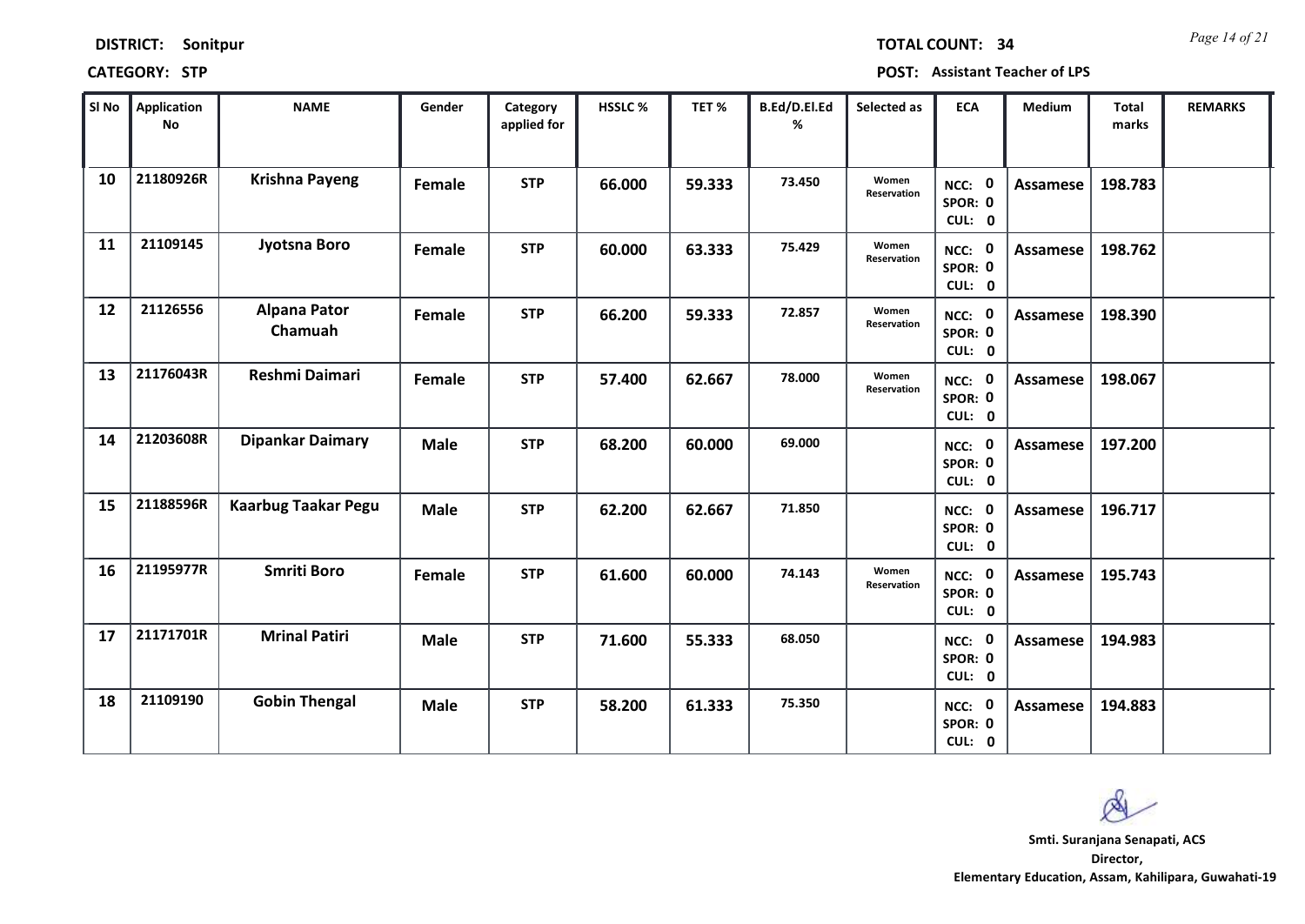| <b>DISTRICT:</b> | Sonitpur |
|------------------|----------|
|------------------|----------|

*Page 14 of 21* **TOTAL COUNT: 34**

**CATEGORY: STP POST: Assistant Teacher of LPS**

| SI No | Application<br>No | <b>NAME</b>                    | Gender      | Category<br>applied for | <b>HSSLC%</b> | TET %  | B.Ed/D.El.Ed<br>% | Selected as          | <b>ECA</b>                  | <b>Medium</b>   | <b>Total</b><br>marks | <b>REMARKS</b> |
|-------|-------------------|--------------------------------|-------------|-------------------------|---------------|--------|-------------------|----------------------|-----------------------------|-----------------|-----------------------|----------------|
| 10    | 21180926R         | <b>Krishna Payeng</b>          | Female      | <b>STP</b>              | 66.000        | 59.333 | 73.450            | Women<br>Reservation | NCC: 0<br>SPOR: 0<br>CUL: 0 | Assamese        | 198.783               |                |
| 11    | 21109145          | Jyotsna Boro                   | Female      | <b>STP</b>              | 60.000        | 63.333 | 75.429            | Women<br>Reservation | NCC: 0<br>SPOR: 0<br>CUL: 0 | Assamese        | 198.762               |                |
| 12    | 21126556          | <b>Alpana Pator</b><br>Chamuah | Female      | <b>STP</b>              | 66.200        | 59.333 | 72.857            | Women<br>Reservation | NCC: 0<br>SPOR: 0<br>CUL: 0 | <b>Assamese</b> | 198.390               |                |
| 13    | 21176043R         | <b>Reshmi Daimari</b>          | Female      | <b>STP</b>              | 57.400        | 62.667 | 78.000            | Women<br>Reservation | NCC: 0<br>SPOR: 0<br>CUL: 0 | Assamese        | 198.067               |                |
| 14    | 21203608R         | <b>Dipankar Daimary</b>        | <b>Male</b> | <b>STP</b>              | 68.200        | 60.000 | 69.000            |                      | NCC: 0<br>SPOR: 0<br>CUL: 0 | Assamese        | 197.200               |                |
| 15    | 21188596R         | <b>Kaarbug Taakar Pegu</b>     | <b>Male</b> | <b>STP</b>              | 62.200        | 62.667 | 71.850            |                      | NCC: 0<br>SPOR: 0<br>CUL: 0 | Assamese        | 196.717               |                |
| 16    | 21195977R         | <b>Smriti Boro</b>             | Female      | <b>STP</b>              | 61.600        | 60.000 | 74.143            | Women<br>Reservation | NCC: 0<br>SPOR: 0<br>CUL: 0 | Assamese        | 195.743               |                |
| 17    | 21171701R         | <b>Mrinal Patiri</b>           | <b>Male</b> | <b>STP</b>              | 71.600        | 55.333 | 68.050            |                      | NCC: 0<br>SPOR: 0<br>CUL: 0 | Assamese        | 194.983               |                |
| 18    | 21109190          | <b>Gobin Thengal</b>           | <b>Male</b> | <b>STP</b>              | 58.200        | 61.333 | 75.350            |                      | NCC: 0<br>SPOR: 0<br>CUL: 0 | Assamese        | 194.883               |                |

 $\infty$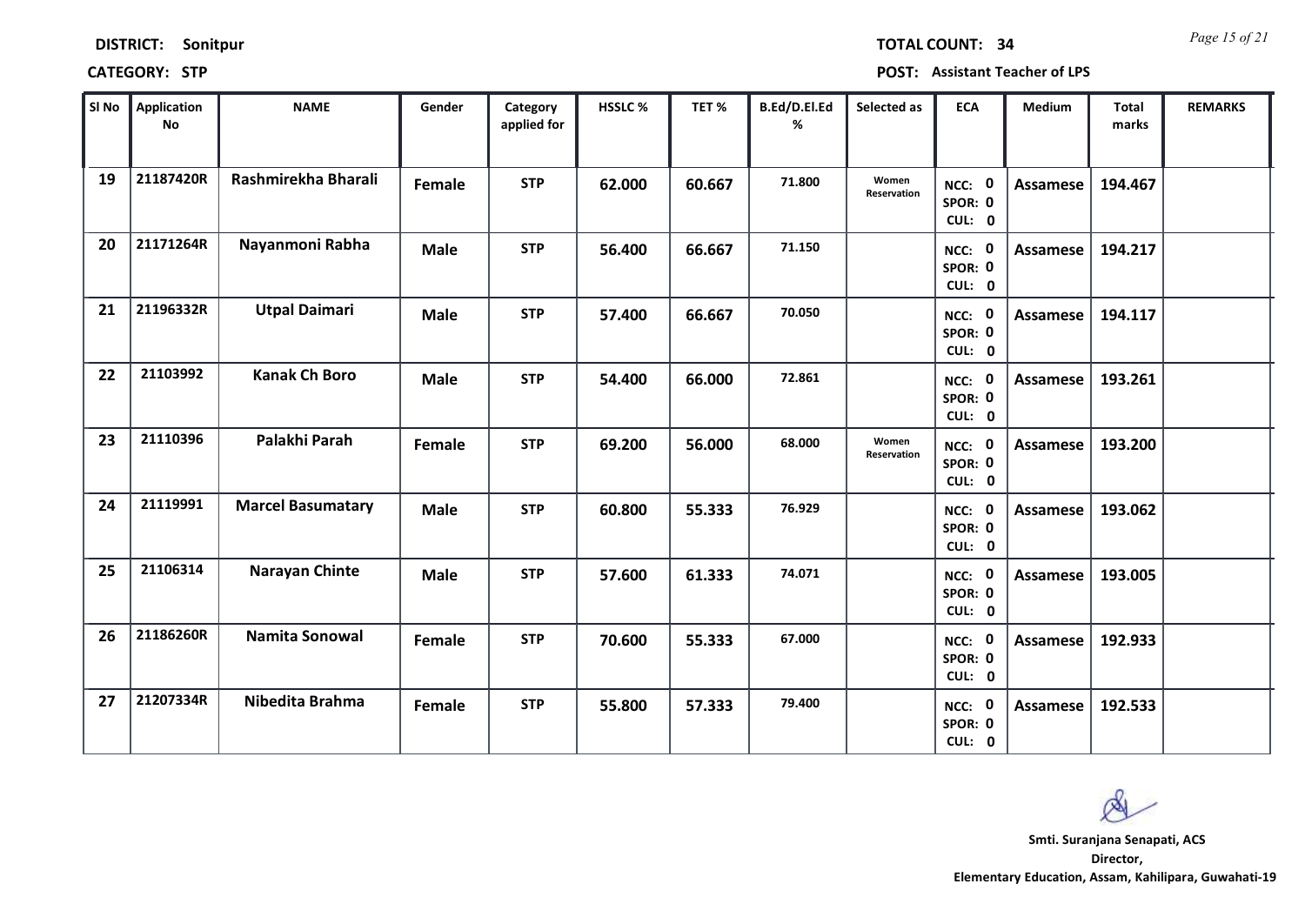*Page 15 of 21* **TOTAL COUNT: 34**

**CATEGORY: STP POST: Assistant Teacher of LPS**

| SI No | <b>Application</b><br><b>No</b> | <b>NAME</b>              | Gender      | Category<br>applied for | <b>HSSLC%</b> | TET %  | B.Ed/D.El.Ed<br>% | Selected as          | <b>ECA</b>                                | Medium          | Total<br>marks | <b>REMARKS</b> |
|-------|---------------------------------|--------------------------|-------------|-------------------------|---------------|--------|-------------------|----------------------|-------------------------------------------|-----------------|----------------|----------------|
| 19    | 21187420R                       | Rashmirekha Bharali      | Female      | <b>STP</b>              | 62.000        | 60.667 | 71.800            | Women<br>Reservation | NCC: 0<br>SPOR: 0<br>CUL: 0               | <b>Assamese</b> | 194.467        |                |
| 20    | 21171264R                       | Nayanmoni Rabha          | <b>Male</b> | <b>STP</b>              | 56.400        | 66.667 | 71.150            |                      | NCC: 0<br>SPOR: 0<br>CUL: 0               | Assamese        | 194.217        |                |
| 21    | 21196332R                       | <b>Utpal Daimari</b>     | <b>Male</b> | <b>STP</b>              | 57.400        | 66.667 | 70.050            |                      | NCC: 0<br>SPOR: 0<br>CUL: 0               | <b>Assamese</b> | 194.117        |                |
| 22    | 21103992                        | <b>Kanak Ch Boro</b>     | <b>Male</b> | <b>STP</b>              | 54.400        | 66.000 | 72.861            |                      | $\mathbf{0}$<br>NCC:<br>SPOR: 0<br>CUL: 0 | Assamese        | 193.261        |                |
| 23    | 21110396                        | Palakhi Parah            | Female      | <b>STP</b>              | 69.200        | 56.000 | 68.000            | Women<br>Reservation | NCC: 0<br>SPOR: 0<br>CUL: 0               | Assamese        | 193.200        |                |
| 24    | 21119991                        | <b>Marcel Basumatary</b> | <b>Male</b> | <b>STP</b>              | 60.800        | 55.333 | 76.929            |                      | NCC: 0<br>SPOR: 0<br>CUL: 0               | Assamese        | 193.062        |                |
| 25    | 21106314                        | Narayan Chinte           | <b>Male</b> | <b>STP</b>              | 57.600        | 61.333 | 74.071            |                      | NCC: 0<br>SPOR: 0<br>CUL: 0               | Assamese        | 193.005        |                |
| 26    | 21186260R                       | <b>Namita Sonowal</b>    | Female      | <b>STP</b>              | 70.600        | 55.333 | 67.000            |                      | NCC: 0<br>SPOR: 0<br>CUL: 0               | <b>Assamese</b> | 192.933        |                |
| 27    | 21207334R                       | Nibedita Brahma          | Female      | <b>STP</b>              | 55.800        | 57.333 | 79.400            |                      | NCC: 0<br>SPOR: 0<br>CUL: 0               | Assamese        | 192.533        |                |

 $\infty$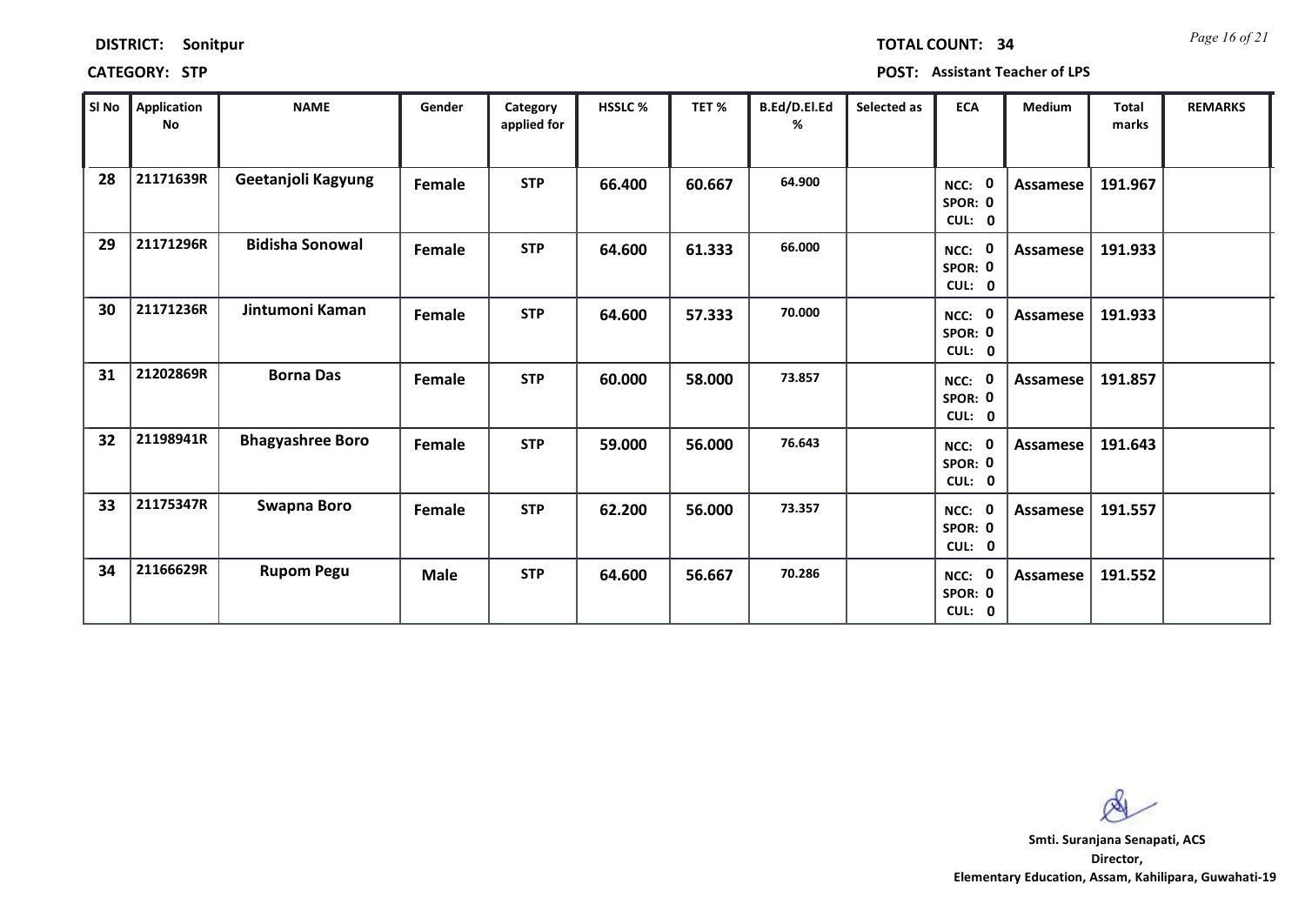## $CATEGORY: STP$

*Page 16 of 21* **TOTAL COUNT: 34**

| POST: Assistant Teacher of LPS |  |  |
|--------------------------------|--|--|
|--------------------------------|--|--|

| SI No | Application<br>No | <b>NAME</b>             | Gender      | Category<br>applied for | HSSLC % | TET%   | B.Ed/D.El.Ed<br>% | Selected as | <b>ECA</b>                       | Medium          | <b>Total</b><br>marks | <b>REMARKS</b> |
|-------|-------------------|-------------------------|-------------|-------------------------|---------|--------|-------------------|-------------|----------------------------------|-----------------|-----------------------|----------------|
| 28    | 21171639R         | Geetanjoli Kagyung      | Female      | <b>STP</b>              | 66.400  | 60.667 | 64.900            |             | - 0<br>NCC:<br>SPOR: 0<br>CUL: 0 | Assamese        | 191.967               |                |
| 29    | 21171296R         | <b>Bidisha Sonowal</b>  | Female      | <b>STP</b>              | 64.600  | 61.333 | 66.000            |             | NCC: 0<br>SPOR: 0<br>CUL: 0      | Assamese        | 191.933               |                |
| 30    | 21171236R         | Jintumoni Kaman         | Female      | <b>STP</b>              | 64.600  | 57.333 | 70.000            |             | NCC: 0<br>SPOR: 0<br>CUL: 0      | Assamese        | 191.933               |                |
| 31    | 21202869R         | <b>Borna Das</b>        | Female      | <b>STP</b>              | 60.000  | 58.000 | 73.857            |             | - 0<br>NCC:<br>SPOR: 0<br>CUL: 0 | <b>Assamese</b> | 191.857               |                |
| 32    | 21198941R         | <b>Bhagyashree Boro</b> | Female      | <b>STP</b>              | 59.000  | 56.000 | 76.643            |             | NCC: 0<br>SPOR: 0<br>CUL: 0      | Assamese        | 191.643               |                |
| 33    | 21175347R         | <b>Swapna Boro</b>      | Female      | <b>STP</b>              | 62.200  | 56.000 | 73.357            |             | NCC: 0<br>SPOR: 0<br>CUL: 0      | Assamese        | 191.557               |                |
| 34    | 21166629R         | <b>Rupom Pegu</b>       | <b>Male</b> | <b>STP</b>              | 64.600  | 56.667 | 70.286            |             | NCC: 0<br>SPOR: 0<br>CUL: 0      | Assamese        | 191.552               |                |

 $\infty$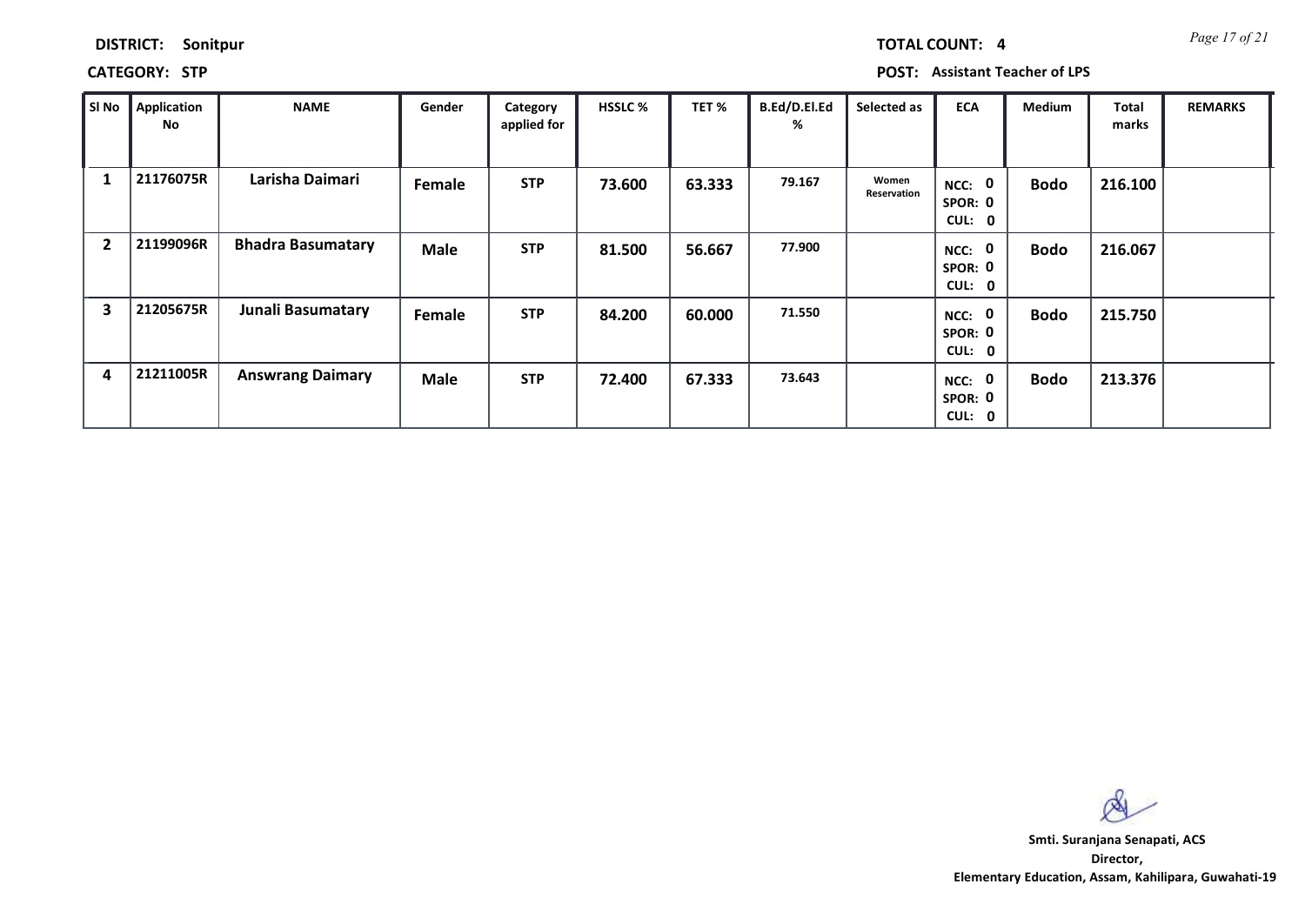| <b>TOTAL COUNT:</b> |  | ı |
|---------------------|--|---|
|                     |  |   |

**CATEGORY: STP POST: Assistant Teacher of LPS**

| SI No                   | Application<br>No | <b>NAME</b>              | Gender        | Category<br>applied for | <b>HSSLC %</b> | TET %  | B.Ed/D.El.Ed<br>% | Selected as          | <b>ECA</b>                                  | <b>Medium</b> | Total<br>marks | <b>REMARKS</b> |
|-------------------------|-------------------|--------------------------|---------------|-------------------------|----------------|--------|-------------------|----------------------|---------------------------------------------|---------------|----------------|----------------|
|                         | 21176075R         | Larisha Daimari          | <b>Female</b> | <b>STP</b>              | 73.600         | 63.333 | 79.167            | Women<br>Reservation | $\bf{0}$<br>NCC:<br>SPOR: 0<br>CUL:<br>0    | <b>Bodo</b>   | 216.100        |                |
| $\overline{2}$          | 21199096R         | <b>Bhadra Basumatary</b> | <b>Male</b>   | <b>STP</b>              | 81.500         | 56.667 | 77.900            |                      | $\bf{0}$<br>NCC:<br>SPOR: 0<br>CUL: 0       | <b>Bodo</b>   | 216.067        |                |
| $\overline{\mathbf{3}}$ | 21205675R         | Junali Basumatary        | Female        | <b>STP</b>              | 84.200         | 60.000 | 71.550            |                      | $\mathbf 0$<br>NCC:<br>SPOR: 0<br>CUL: 0    | <b>Bodo</b>   | 215.750        |                |
| 4                       | 21211005R         | <b>Answrang Daimary</b>  | <b>Male</b>   | <b>STP</b>              | 72.400         | 67.333 | 73.643            |                      | $\mathbf 0$<br>NCC:<br>SPOR: 0<br>CUL:<br>0 | Bodo          | 213.376        |                |

 $\infty$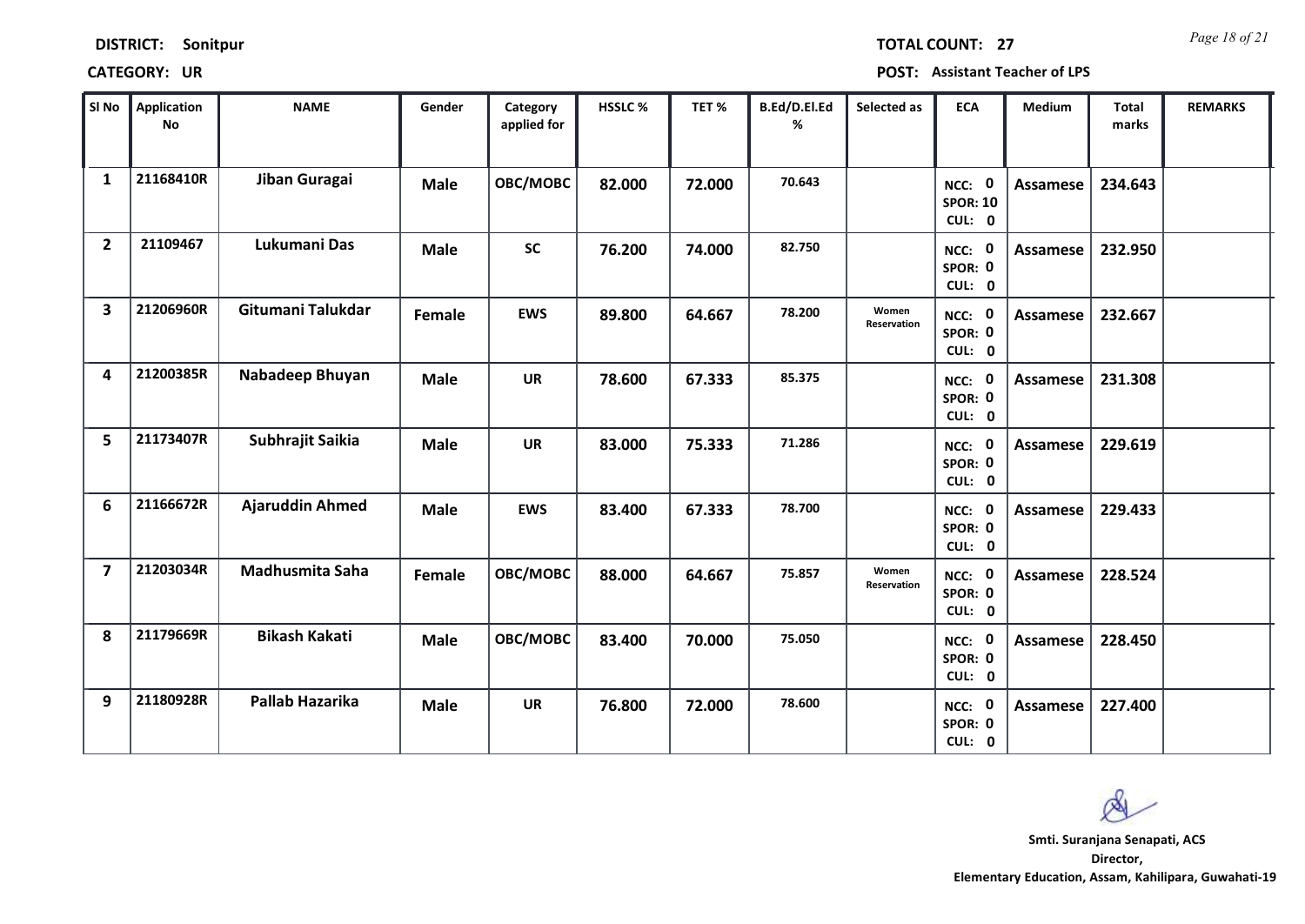| <b>DISTRICT:</b> | Sonitpur |
|------------------|----------|
|------------------|----------|

*Page 18 of 21* **TOTAL COUNT: 27**

**CATEGORY: UR POST: Assistant Teacher of LPS**

| SI No                   | <b>Application</b><br><b>No</b> | <b>NAME</b>            | Gender      | Category<br>applied for | <b>HSSLC%</b> | TET %  | B.Ed/D.El.Ed<br>% | Selected as          | <b>ECA</b>                                | Medium          | Total<br>marks | <b>REMARKS</b> |
|-------------------------|---------------------------------|------------------------|-------------|-------------------------|---------------|--------|-------------------|----------------------|-------------------------------------------|-----------------|----------------|----------------|
| $\mathbf{1}$            | 21168410R                       | Jiban Guragai          | <b>Male</b> | OBC/MOBC                | 82.000        | 72.000 | 70.643            |                      | NCC: 0<br><b>SPOR: 10</b><br>CUL: 0       | <b>Assamese</b> | 234.643        |                |
| $\overline{2}$          | 21109467                        | Lukumani Das           | <b>Male</b> | <b>SC</b>               | 76.200        | 74.000 | 82.750            |                      | NCC: 0<br>SPOR: 0<br>CUL: 0               | Assamese        | 232.950        |                |
| $\overline{\mathbf{3}}$ | 21206960R                       | Gitumani Talukdar      | Female      | <b>EWS</b>              | 89.800        | 64.667 | 78.200            | Women<br>Reservation | NCC: 0<br>SPOR: 0<br>CUL: 0               | <b>Assamese</b> | 232.667        |                |
| 4                       | 21200385R                       | Nabadeep Bhuyan        | <b>Male</b> | <b>UR</b>               | 78.600        | 67.333 | 85.375            |                      | $\mathbf{0}$<br>NCC:<br>SPOR: 0<br>CUL: 0 | Assamese        | 231.308        |                |
| 5                       | 21173407R                       | Subhrajit Saikia       | <b>Male</b> | <b>UR</b>               | 83.000        | 75.333 | 71.286            |                      | NCC: 0<br>SPOR: 0<br>CUL: 0               | <b>Assamese</b> | 229.619        |                |
| 6                       | 21166672R                       | <b>Ajaruddin Ahmed</b> | <b>Male</b> | <b>EWS</b>              | 83.400        | 67.333 | 78.700            |                      | NCC: 0<br>SPOR: 0<br>CUL: 0               | <b>Assamese</b> | 229.433        |                |
| $\overline{7}$          | 21203034R                       | <b>Madhusmita Saha</b> | Female      | <b>OBC/MOBC</b>         | 88.000        | 64.667 | 75.857            | Women<br>Reservation | NCC: 0<br>SPOR: 0<br>CUL: 0               | <b>Assamese</b> | 228.524        |                |
| 8                       | 21179669R                       | <b>Bikash Kakati</b>   | <b>Male</b> | OBC/MOBC                | 83.400        | 70.000 | 75.050            |                      | NCC: 0<br>SPOR: 0<br>CUL: 0               | <b>Assamese</b> | 228.450        |                |
| 9                       | 21180928R                       | Pallab Hazarika        | <b>Male</b> | UR                      | 76.800        | 72.000 | 78.600            |                      | NCC: 0<br>SPOR: 0<br>CUL: 0               | Assamese        | 227.400        |                |

 $\infty$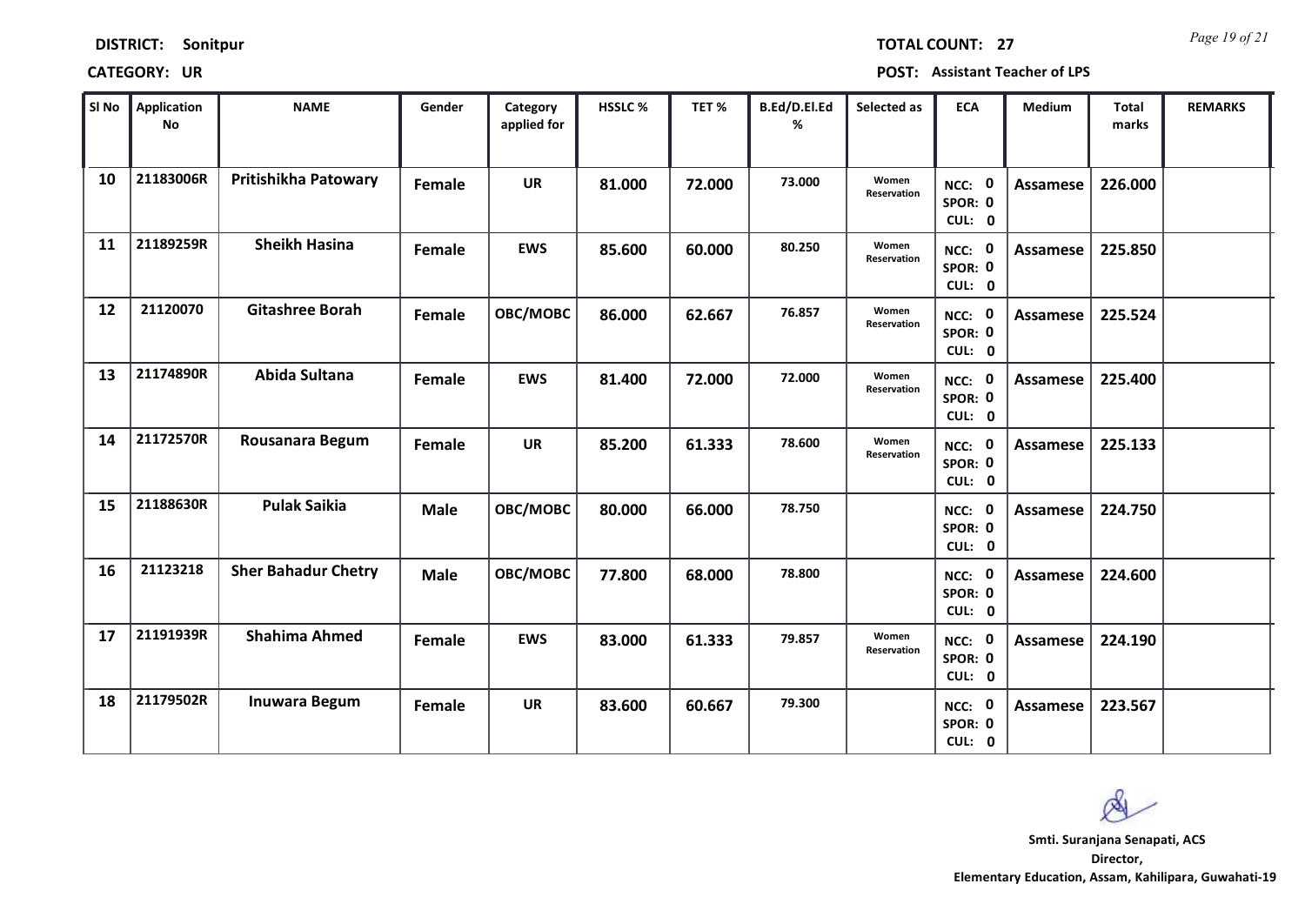*Page 19 of 21* **TOTAL COUNT: 27**

**CATEGORY: UR POST: Assistant Teacher of LPS**

| SI No | <b>Application</b><br>No | <b>NAME</b>                | Gender      | Category<br>applied for | <b>HSSLC %</b> | TET %  | B.Ed/D.El.Ed<br>% | Selected as          | <b>ECA</b>                  | <b>Medium</b>   | <b>Total</b><br>marks | <b>REMARKS</b> |
|-------|--------------------------|----------------------------|-------------|-------------------------|----------------|--------|-------------------|----------------------|-----------------------------|-----------------|-----------------------|----------------|
| 10    | 21183006R                | Pritishikha Patowary       | Female      | <b>UR</b>               | 81.000         | 72.000 | 73.000            | Women<br>Reservation | NCC: 0<br>SPOR: 0<br>CUL: 0 | <b>Assamese</b> | 226.000               |                |
| 11    | 21189259R                | <b>Sheikh Hasina</b>       | Female      | <b>EWS</b>              | 85.600         | 60.000 | 80.250            | Women<br>Reservation | NCC: 0<br>SPOR: 0<br>CUL: 0 | Assamese        | 225.850               |                |
| 12    | 21120070                 | <b>Gitashree Borah</b>     | Female      | OBC/MOBC                | 86.000         | 62.667 | 76.857            | Women<br>Reservation | NCC: 0<br>SPOR: 0<br>CUL: 0 | Assamese        | 225.524               |                |
| 13    | 21174890R                | Abida Sultana              | Female      | <b>EWS</b>              | 81.400         | 72.000 | 72.000            | Women<br>Reservation | NCC: 0<br>SPOR: 0<br>CUL: 0 | Assamese        | 225.400               |                |
| 14    | 21172570R                | Rousanara Begum            | Female      | <b>UR</b>               | 85.200         | 61.333 | 78.600            | Women<br>Reservation | NCC: 0<br>SPOR: 0<br>CUL: 0 | Assamese        | 225.133               |                |
| 15    | 21188630R                | <b>Pulak Saikia</b>        | <b>Male</b> | OBC/MOBC                | 80.000         | 66.000 | 78.750            |                      | NCC: 0<br>SPOR: 0<br>CUL: 0 | Assamese        | 224.750               |                |
| 16    | 21123218                 | <b>Sher Bahadur Chetry</b> | <b>Male</b> | <b>OBC/MOBC</b>         | 77.800         | 68.000 | 78.800            |                      | NCC: 0<br>SPOR: 0<br>CUL: 0 | Assamese        | 224.600               |                |
| 17    | 21191939R                | <b>Shahima Ahmed</b>       | Female      | <b>EWS</b>              | 83.000         | 61.333 | 79.857            | Women<br>Reservation | NCC: 0<br>SPOR: 0<br>CUL: 0 | Assamese        | 224.190               |                |
| 18    | 21179502R                | <b>Inuwara Begum</b>       | Female      | UR                      | 83.600         | 60.667 | 79.300            |                      | NCC: 0<br>SPOR: 0<br>CUL: 0 | Assamese        | 223.567               |                |

 $\infty$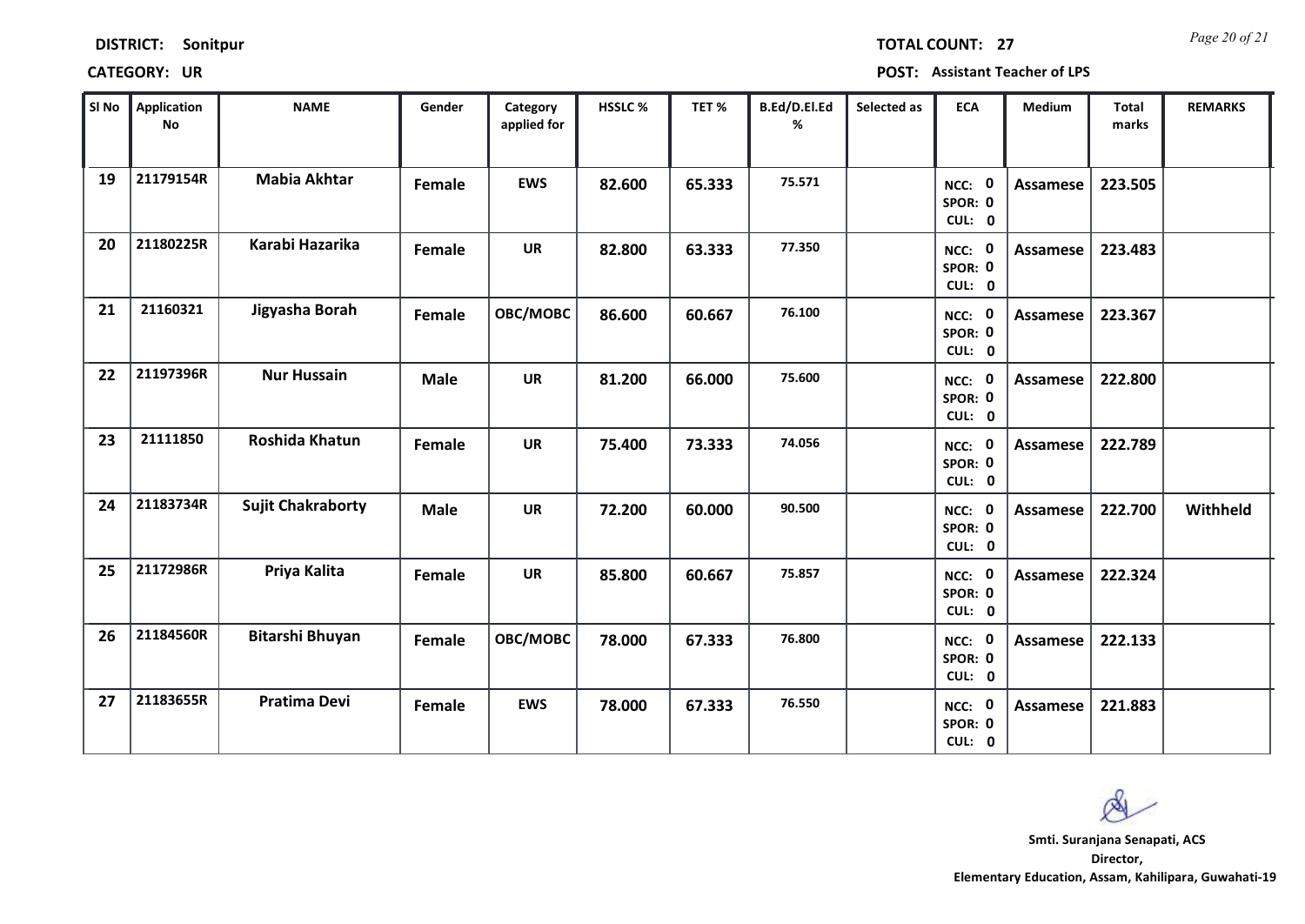| <b>DISTRICT:</b> | Sonitpur |
|------------------|----------|
|------------------|----------|

*Page 20 of 21* **TOTAL COUNT: 27**

**CATEGORY: UR POST: Assistant Teacher of LPS**

| SI No | Application<br>No | <b>NAME</b>              | Gender      | Category<br>applied for | HSSLC % | TET%   | B.Ed/D.El.Ed<br>% | Selected as | <b>ECA</b>                  | <b>Medium</b>   | <b>Total</b><br>marks | <b>REMARKS</b> |
|-------|-------------------|--------------------------|-------------|-------------------------|---------|--------|-------------------|-------------|-----------------------------|-----------------|-----------------------|----------------|
| 19    | 21179154R         | <b>Mabia Akhtar</b>      | Female      | <b>EWS</b>              | 82.600  | 65.333 | 75.571            |             | NCC: 0<br>SPOR: 0<br>CUL: 0 | <b>Assamese</b> | 223.505               |                |
| 20    | 21180225R         | Karabi Hazarika          | Female      | <b>UR</b>               | 82.800  | 63.333 | 77.350            |             | NCC: 0<br>SPOR: 0<br>CUL: 0 | Assamese        | 223.483               |                |
| 21    | 21160321          | Jigyasha Borah           | Female      | OBC/MOBC                | 86.600  | 60.667 | 76.100            |             | NCC: 0<br>SPOR: 0<br>CUL: 0 | Assamese        | 223.367               |                |
| 22    | 21197396R         | <b>Nur Hussain</b>       | <b>Male</b> | <b>UR</b>               | 81.200  | 66.000 | 75.600            |             | NCC: 0<br>SPOR: 0<br>CUL: 0 | Assamese        | 222.800               |                |
| 23    | 21111850          | Roshida Khatun           | Female      | <b>UR</b>               | 75.400  | 73.333 | 74.056            |             | NCC: 0<br>SPOR: 0<br>CUL: 0 | Assamese        | 222.789               |                |
| 24    | 21183734R         | <b>Sujit Chakraborty</b> | <b>Male</b> | <b>UR</b>               | 72.200  | 60.000 | 90.500            |             | NCC: 0<br>SPOR: 0<br>CUL: 0 | <b>Assamese</b> | 222.700               | Withheld       |
| 25    | 21172986R         | Priya Kalita             | Female      | <b>UR</b>               | 85.800  | 60.667 | 75.857            |             | NCC: 0<br>SPOR: 0<br>CUL: 0 | Assamese        | 222.324               |                |
| 26    | 21184560R         | Bitarshi Bhuyan          | Female      | OBC/MOBC                | 78.000  | 67.333 | 76.800            |             | NCC: 0<br>SPOR: 0<br>CUL: 0 | <b>Assamese</b> | 222.133               |                |
| 27    | 21183655R         | <b>Pratima Devi</b>      | Female      | <b>EWS</b>              | 78.000  | 67.333 | 76.550            |             | NCC: 0<br>SPOR: 0<br>CUL: 0 | <b>Assamese</b> | 221.883               |                |

 $\infty$